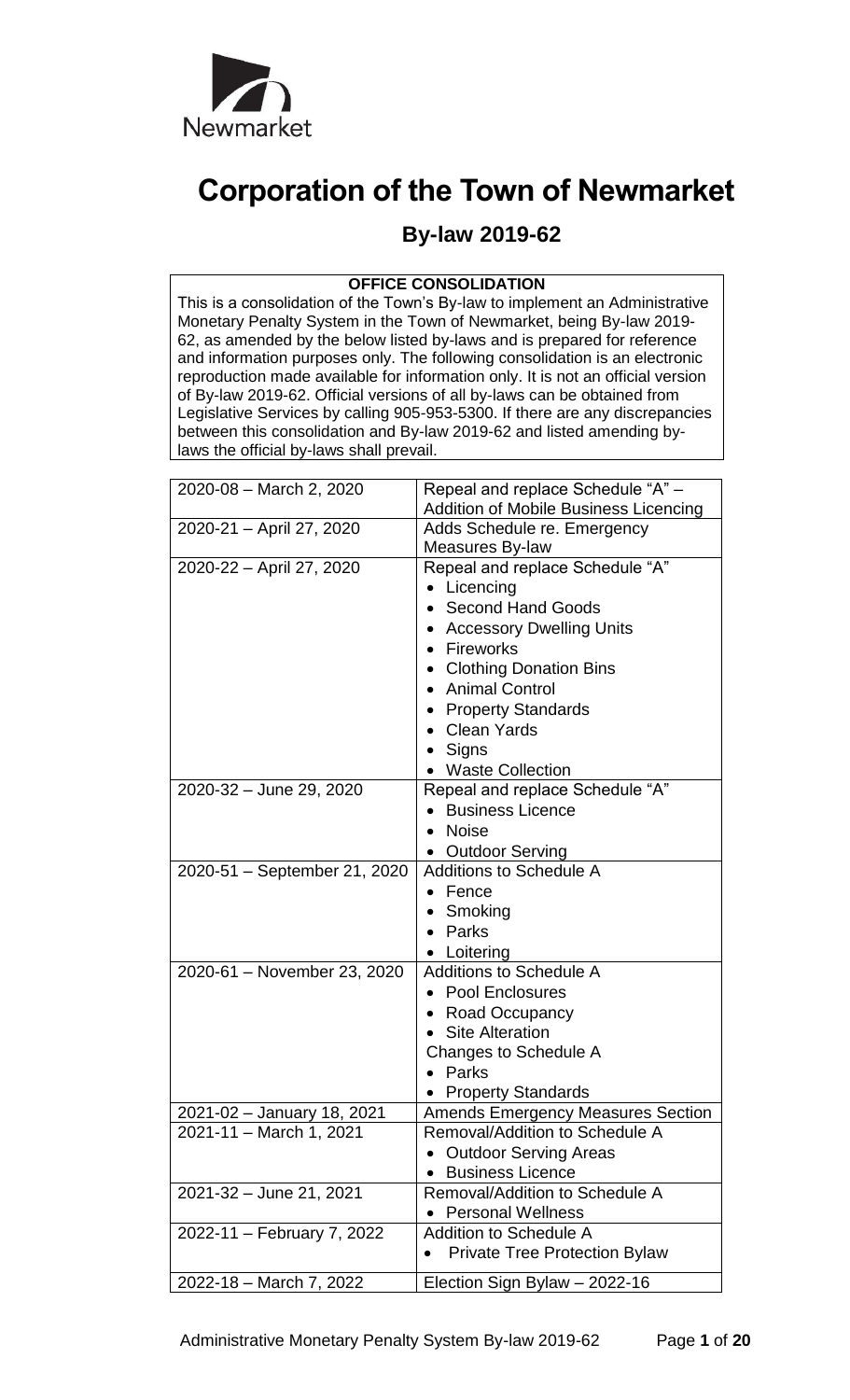

# **Corporation of the Town of Newmarket**

# **By-law 2019-62**

# **OFFICE CONSOLIDATION**

This is a consolidation of the Town's By-law to implement an Administrative Monetary Penalty System in the Town of Newmarket, being By-law 2019- 62, as amended by the below listed by-laws and is prepared for reference and information purposes only. The following consolidation is an electronic reproduction made available for information only. It is not an official version of By-law 2019-62. Official versions of all by-laws can be obtained from Legislative Services by calling 905-953-5300. If there are any discrepancies between this consolidation and By-law 2019-62 and listed amending bylaws the official by-laws shall prevail.

| 2020-08 - March 2, 2020      | Repeal and replace Schedule "A" -                 |
|------------------------------|---------------------------------------------------|
|                              | <b>Addition of Mobile Business Licencing</b>      |
| 2020-21 - April 27, 2020     | Adds Schedule re. Emergency                       |
|                              | Measures By-law                                   |
| 2020-22 - April 27, 2020     | Repeal and replace Schedule "A"                   |
|                              | Licencing                                         |
|                              | <b>Second Hand Goods</b>                          |
|                              | <b>Accessory Dwelling Units</b>                   |
|                              | • Fireworks                                       |
|                              | <b>Clothing Donation Bins</b>                     |
|                              | <b>Animal Control</b>                             |
|                              | <b>Property Standards</b>                         |
|                              | <b>Clean Yards</b>                                |
|                              | Signs                                             |
|                              | • Waste Collection                                |
| 2020-32 - June 29, 2020      | Repeal and replace Schedule "A"                   |
|                              | <b>Business Licence</b>                           |
|                              | <b>Noise</b>                                      |
|                              | <b>Outdoor Serving</b>                            |
| 2020-51 - September 21, 2020 | <b>Additions to Schedule A</b>                    |
|                              | Fence                                             |
|                              | Smoking                                           |
|                              | Parks                                             |
|                              | Loitering                                         |
| 2020-61 - November 23, 2020  | <b>Additions to Schedule A</b>                    |
|                              | <b>Pool Enclosures</b>                            |
|                              | <b>Road Occupancy</b>                             |
|                              | <b>Site Alteration</b>                            |
|                              | Changes to Schedule A                             |
|                              | Parks                                             |
|                              | <b>Property Standards</b>                         |
| 2021-02 - January 18, 2021   | <b>Amends Emergency Measures Section</b>          |
| 2021-11 - March 1, 2021      | Removal/Addition to Schedule A                    |
|                              | <b>Outdoor Serving Areas</b>                      |
|                              | <b>Business Licence</b>                           |
| 2021-32 - June 21, 2021      | Removal/Addition to Schedule A                    |
|                              | <b>Personal Wellness</b>                          |
| 2022-11 - February 7, 2022   | <b>Addition to Schedule A</b>                     |
|                              | <b>Private Tree Protection Bylaw</b><br>$\bullet$ |
| 2022-18 - March 7, 2022      | Election Sign Bylaw - 2022-16                     |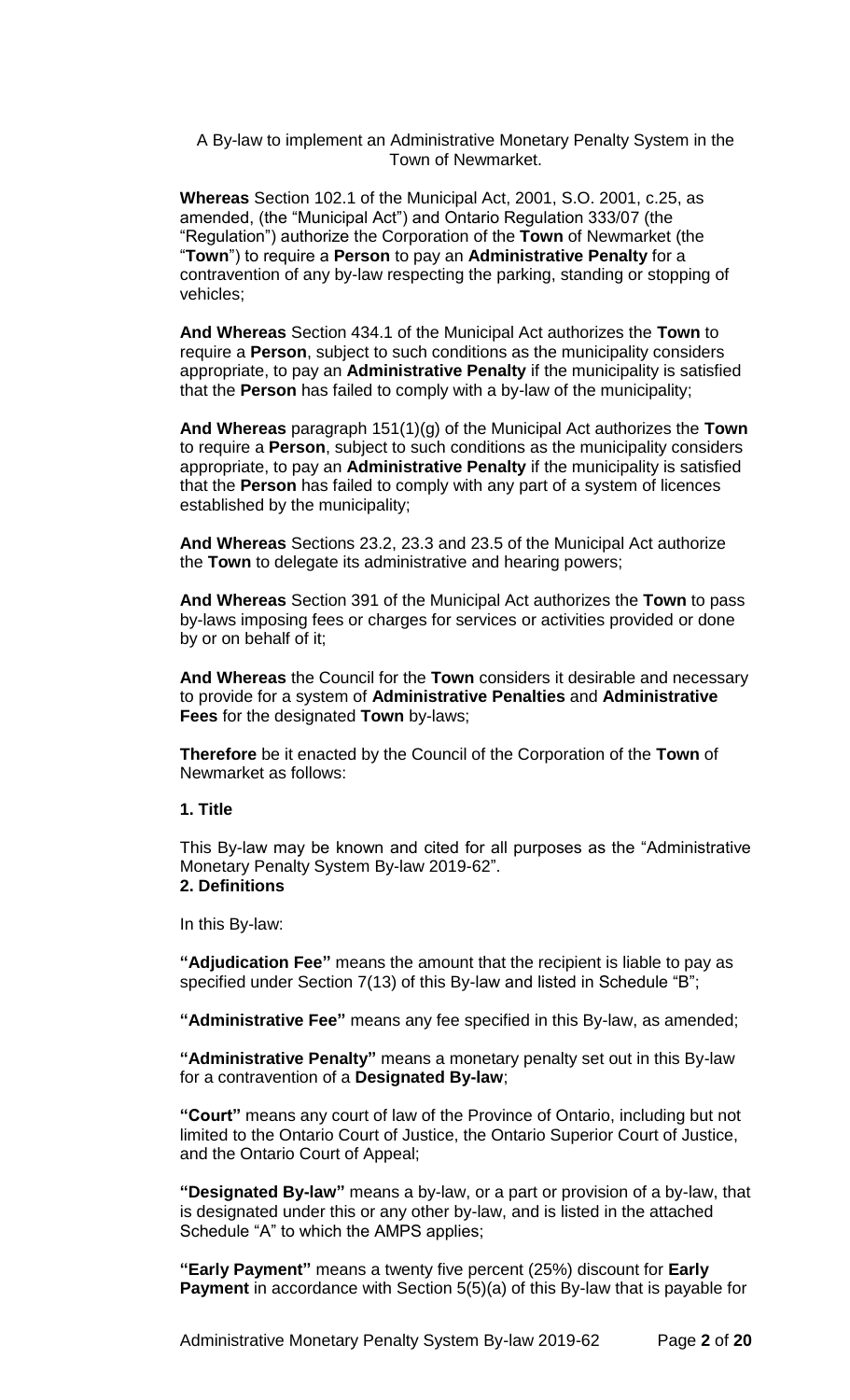A By-law to implement an Administrative Monetary Penalty System in the Town of Newmarket.

**Whereas** Section 102.1 of the Municipal Act, 2001, S.O. 2001, c.25, as amended, (the "Municipal Act") and Ontario Regulation 333/07 (the "Regulation") authorize the Corporation of the **Town** of Newmarket (the "**Town**") to require a **Person** to pay an **Administrative Penalty** for a contravention of any by-law respecting the parking, standing or stopping of vehicles;

**And Whereas** Section 434.1 of the Municipal Act authorizes the **Town** to require a **Person**, subject to such conditions as the municipality considers appropriate, to pay an **Administrative Penalty** if the municipality is satisfied that the **Person** has failed to comply with a by-law of the municipality;

**And Whereas** paragraph 151(1)(g) of the Municipal Act authorizes the **Town** to require a **Person**, subject to such conditions as the municipality considers appropriate, to pay an **Administrative Penalty** if the municipality is satisfied that the **Person** has failed to comply with any part of a system of licences established by the municipality;

**And Whereas** Sections 23.2, 23.3 and 23.5 of the Municipal Act authorize the **Town** to delegate its administrative and hearing powers;

**And Whereas** Section 391 of the Municipal Act authorizes the **Town** to pass by-laws imposing fees or charges for services or activities provided or done by or on behalf of it;

**And Whereas** the Council for the **Town** considers it desirable and necessary to provide for a system of **Administrative Penalties** and **Administrative Fees** for the designated **Town** by-laws;

**Therefore** be it enacted by the Council of the Corporation of the **Town** of Newmarket as follows:

#### **1. Title**

This By-law may be known and cited for all purposes as the "Administrative Monetary Penalty System By-law 2019-62". **2. Definitions**

In this By-law:

**"Adjudication Fee"** means the amount that the recipient is liable to pay as specified under Section 7(13) of this By-law and listed in Schedule "B";

**"Administrative Fee"** means any fee specified in this By-law, as amended;

**"Administrative Penalty"** means a monetary penalty set out in this By-law for a contravention of a **Designated By-law**;

**"Court"** means any court of law of the Province of Ontario, including but not limited to the Ontario Court of Justice, the Ontario Superior Court of Justice, and the Ontario Court of Appeal;

**"Designated By-law"** means a by-law, or a part or provision of a by-law, that is designated under this or any other by-law, and is listed in the attached Schedule "A" to which the AMPS applies;

**"Early Payment"** means a twenty five percent (25%) discount for **Early Payment** in accordance with Section 5(5)(a) of this By-law that is payable for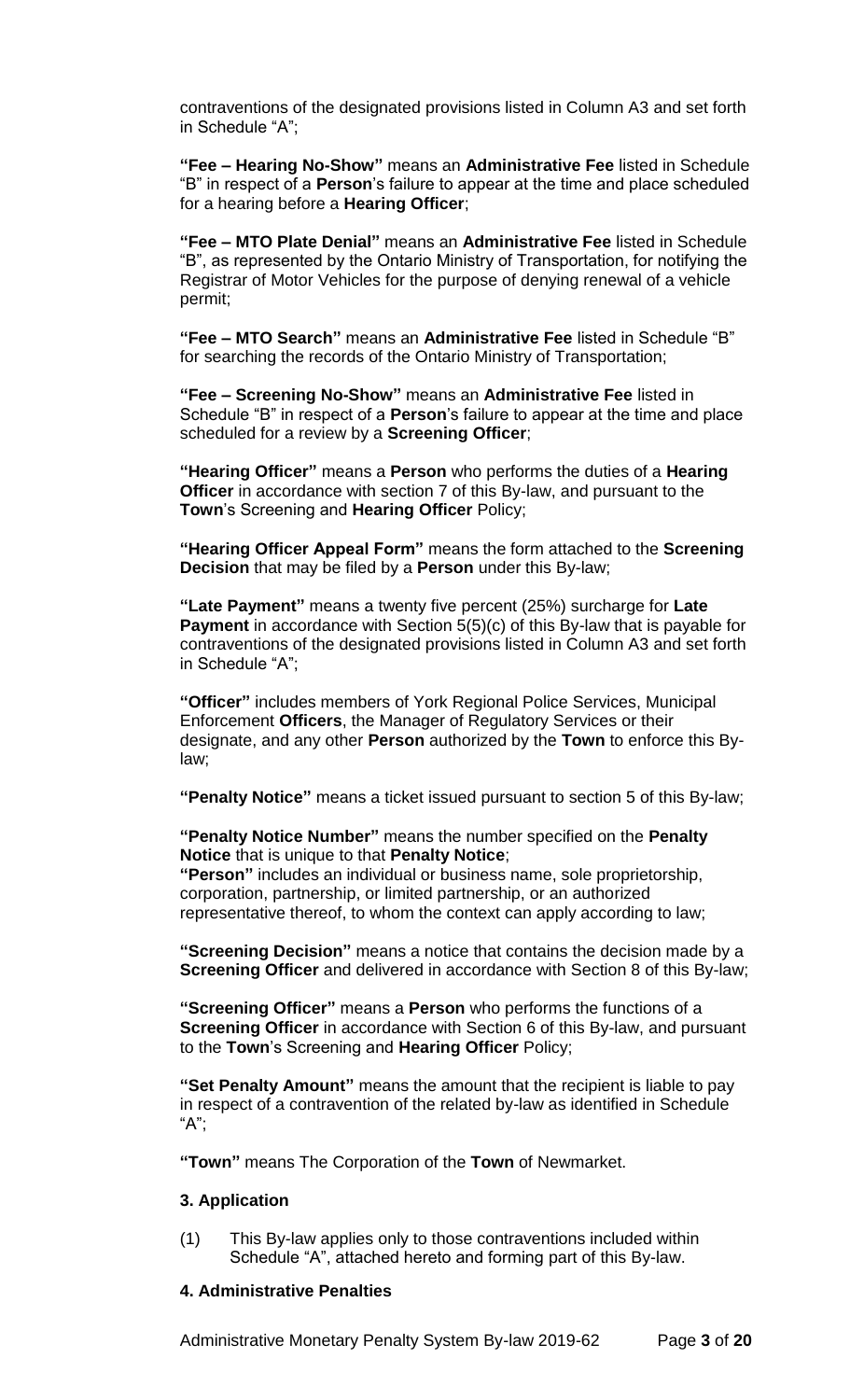contraventions of the designated provisions listed in Column A3 and set forth in Schedule "A";

**"Fee – Hearing No-Show"** means an **Administrative Fee** listed in Schedule "B" in respect of a **Person**'s failure to appear at the time and place scheduled for a hearing before a **Hearing Officer**;

**"Fee – MTO Plate Denial"** means an **Administrative Fee** listed in Schedule "B", as represented by the Ontario Ministry of Transportation, for notifying the Registrar of Motor Vehicles for the purpose of denying renewal of a vehicle permit;

**"Fee – MTO Search"** means an **Administrative Fee** listed in Schedule "B" for searching the records of the Ontario Ministry of Transportation;

**"Fee – Screening No-Show"** means an **Administrative Fee** listed in Schedule "B" in respect of a **Person**'s failure to appear at the time and place scheduled for a review by a **Screening Officer**;

**"Hearing Officer"** means a **Person** who performs the duties of a **Hearing Officer** in accordance with section 7 of this By-law, and pursuant to the **Town**'s Screening and **Hearing Officer** Policy;

**"Hearing Officer Appeal Form"** means the form attached to the **Screening Decision** that may be filed by a **Person** under this By-law;

**"Late Payment"** means a twenty five percent (25%) surcharge for **Late Payment** in accordance with Section 5(5)(c) of this By-law that is payable for contraventions of the designated provisions listed in Column A3 and set forth in Schedule "A";

**"Officer"** includes members of York Regional Police Services, Municipal Enforcement **Officers**, the Manager of Regulatory Services or their designate, and any other **Person** authorized by the **Town** to enforce this Bylaw;

**"Penalty Notice"** means a ticket issued pursuant to section 5 of this By-law;

### **"Penalty Notice Number"** means the number specified on the **Penalty Notice** that is unique to that **Penalty Notice**;

**"Person"** includes an individual or business name, sole proprietorship, corporation, partnership, or limited partnership, or an authorized representative thereof, to whom the context can apply according to law;

**"Screening Decision"** means a notice that contains the decision made by a **Screening Officer** and delivered in accordance with Section 8 of this By-law;

**"Screening Officer"** means a **Person** who performs the functions of a **Screening Officer** in accordance with Section 6 of this By-law, and pursuant to the **Town**'s Screening and **Hearing Officer** Policy;

**"Set Penalty Amount"** means the amount that the recipient is liable to pay in respect of a contravention of the related by-law as identified in Schedule "A";

**"Town"** means The Corporation of the **Town** of Newmarket.

### **3. Application**

(1) This By-law applies only to those contraventions included within Schedule "A", attached hereto and forming part of this By-law.

#### **4. Administrative Penalties**

Administrative Monetary Penalty System By-law 2019-62 Page **3** of **20**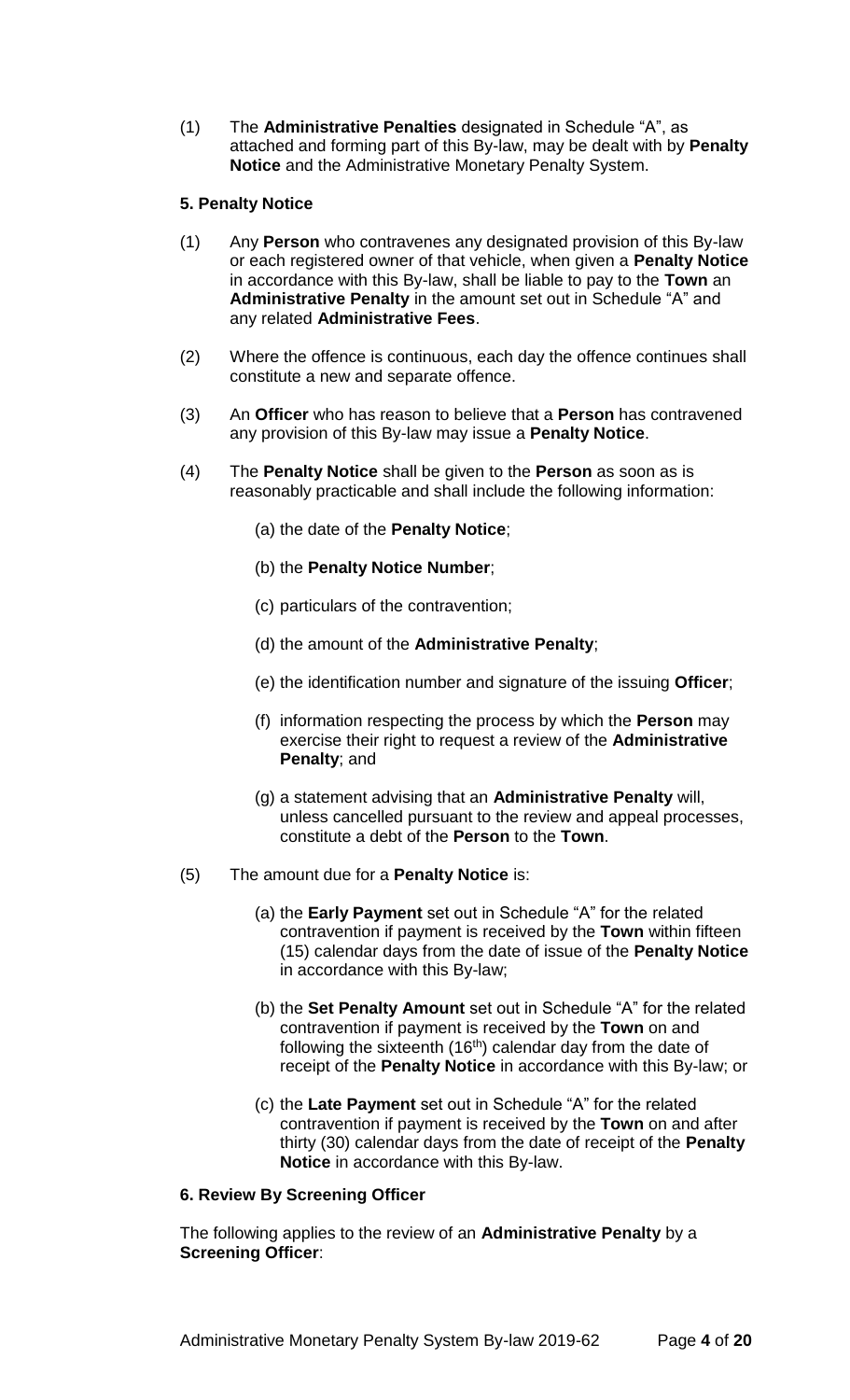(1) The **Administrative Penalties** designated in Schedule "A", as attached and forming part of this By-law, may be dealt with by **Penalty Notice** and the Administrative Monetary Penalty System.

# **5. Penalty Notice**

- (1) Any **Person** who contravenes any designated provision of this By-law or each registered owner of that vehicle, when given a **Penalty Notice** in accordance with this By-law, shall be liable to pay to the **Town** an **Administrative Penalty** in the amount set out in Schedule "A" and any related **Administrative Fees**.
- (2) Where the offence is continuous, each day the offence continues shall constitute a new and separate offence.
- (3) An **Officer** who has reason to believe that a **Person** has contravened any provision of this By-law may issue a **Penalty Notice**.
- (4) The **Penalty Notice** shall be given to the **Person** as soon as is reasonably practicable and shall include the following information:
	- (a) the date of the **Penalty Notice**;
	- (b) the **Penalty Notice Number**;
	- (c) particulars of the contravention;
	- (d) the amount of the **Administrative Penalty**;
	- (e) the identification number and signature of the issuing **Officer**;
	- (f) information respecting the process by which the **Person** may exercise their right to request a review of the **Administrative Penalty**; and
	- (g) a statement advising that an **Administrative Penalty** will, unless cancelled pursuant to the review and appeal processes, constitute a debt of the **Person** to the **Town**.
- (5) The amount due for a **Penalty Notice** is:
	- (a) the **Early Payment** set out in Schedule "A" for the related contravention if payment is received by the **Town** within fifteen (15) calendar days from the date of issue of the **Penalty Notice** in accordance with this By-law;
	- (b) the **Set Penalty Amount** set out in Schedule "A" for the related contravention if payment is received by the **Town** on and following the sixteenth (16<sup>th</sup>) calendar day from the date of receipt of the **Penalty Notice** in accordance with this By-law; or
	- (c) the **Late Payment** set out in Schedule "A" for the related contravention if payment is received by the **Town** on and after thirty (30) calendar days from the date of receipt of the **Penalty Notice** in accordance with this By-law.

#### **6. Review By Screening Officer**

The following applies to the review of an **Administrative Penalty** by a **Screening Officer**: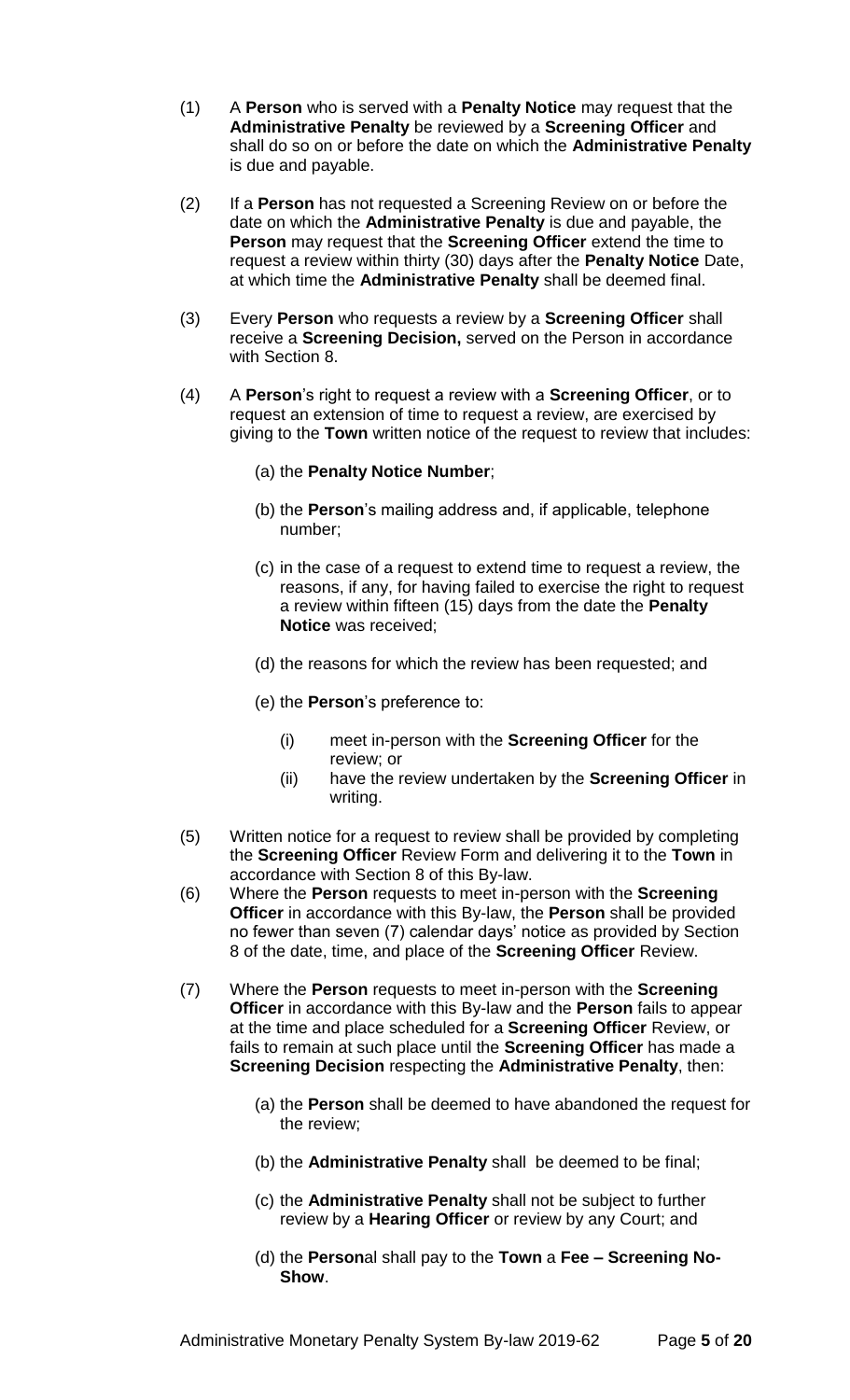- (1) A **Person** who is served with a **Penalty Notice** may request that the **Administrative Penalty** be reviewed by a **Screening Officer** and shall do so on or before the date on which the **Administrative Penalty** is due and payable.
- (2) If a **Person** has not requested a Screening Review on or before the date on which the **Administrative Penalty** is due and payable, the **Person** may request that the **Screening Officer** extend the time to request a review within thirty (30) days after the **Penalty Notice** Date, at which time the **Administrative Penalty** shall be deemed final.
- (3) Every **Person** who requests a review by a **Screening Officer** shall receive a **Screening Decision,** served on the Person in accordance with Section 8.
- (4) A **Person**'s right to request a review with a **Screening Officer**, or to request an extension of time to request a review, are exercised by giving to the **Town** written notice of the request to review that includes:
	- (a) the **Penalty Notice Number**;
	- (b) the **Person**'s mailing address and, if applicable, telephone number;
	- (c) in the case of a request to extend time to request a review, the reasons, if any, for having failed to exercise the right to request a review within fifteen (15) days from the date the **Penalty Notice** was received;
	- (d) the reasons for which the review has been requested; and
	- (e) the **Person**'s preference to:
		- (i) meet in-person with the **Screening Officer** for the review; or
		- (ii) have the review undertaken by the **Screening Officer** in writing.
- (5) Written notice for a request to review shall be provided by completing the **Screening Officer** Review Form and delivering it to the **Town** in accordance with Section 8 of this By-law.
- (6) Where the **Person** requests to meet in-person with the **Screening Officer** in accordance with this By-law, the **Person** shall be provided no fewer than seven (7) calendar days' notice as provided by Section 8 of the date, time, and place of the **Screening Officer** Review.
- (7) Where the **Person** requests to meet in-person with the **Screening Officer** in accordance with this By-law and the **Person** fails to appear at the time and place scheduled for a **Screening Officer** Review, or fails to remain at such place until the **Screening Officer** has made a **Screening Decision** respecting the **Administrative Penalty**, then:
	- (a) the **Person** shall be deemed to have abandoned the request for the review;
	- (b) the **Administrative Penalty** shall be deemed to be final;
	- (c) the **Administrative Penalty** shall not be subject to further review by a **Hearing Officer** or review by any Court; and
	- (d) the **Person**al shall pay to the **Town** a **Fee – Screening No-Show**.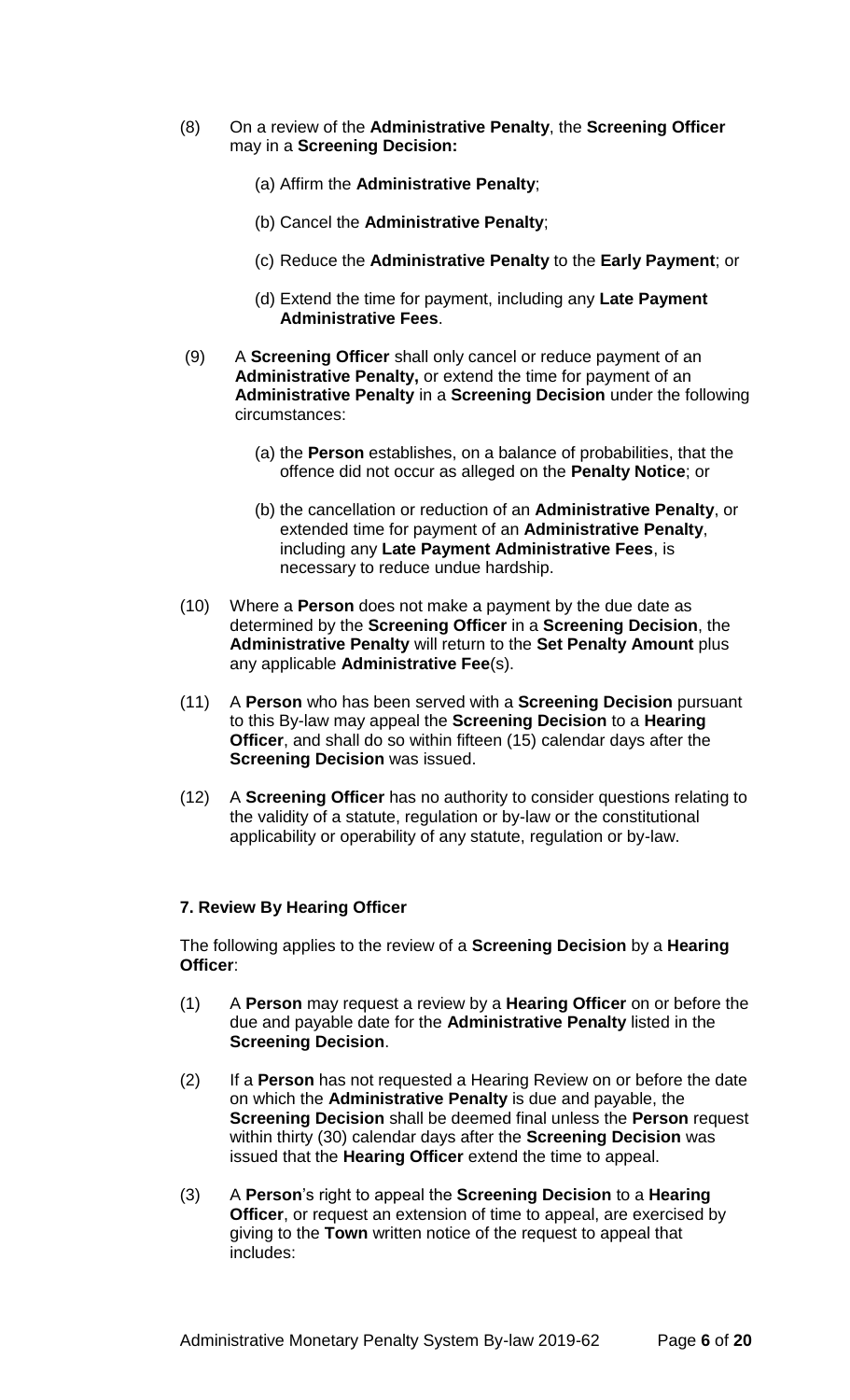- (8) On a review of the **Administrative Penalty**, the **Screening Officer** may in a **Screening Decision:**
	- (a) Affirm the **Administrative Penalty**;
	- (b) Cancel the **Administrative Penalty**;
	- (c) Reduce the **Administrative Penalty** to the **Early Payment**; or
	- (d) Extend the time for payment, including any **Late Payment Administrative Fees**.
- (9) A **Screening Officer** shall only cancel or reduce payment of an **Administrative Penalty,** or extend the time for payment of an **Administrative Penalty** in a **Screening Decision** under the following circumstances:
	- (a) the **Person** establishes, on a balance of probabilities, that the offence did not occur as alleged on the **Penalty Notice**; or
	- (b) the cancellation or reduction of an **Administrative Penalty**, or extended time for payment of an **Administrative Penalty**, including any **Late Payment Administrative Fees**, is necessary to reduce undue hardship.
- (10) Where a **Person** does not make a payment by the due date as determined by the **Screening Officer** in a **Screening Decision**, the **Administrative Penalty** will return to the **Set Penalty Amount** plus any applicable **Administrative Fee**(s).
- (11) A **Person** who has been served with a **Screening Decision** pursuant to this By-law may appeal the **Screening Decision** to a **Hearing Officer**, and shall do so within fifteen (15) calendar days after the **Screening Decision** was issued.
- (12) A **Screening Officer** has no authority to consider questions relating to the validity of a statute, regulation or by-law or the constitutional applicability or operability of any statute, regulation or by-law.

# **7. Review By Hearing Officer**

The following applies to the review of a **Screening Decision** by a **Hearing Officer**:

- (1) A **Person** may request a review by a **Hearing Officer** on or before the due and payable date for the **Administrative Penalty** listed in the **Screening Decision**.
- (2) If a **Person** has not requested a Hearing Review on or before the date on which the **Administrative Penalty** is due and payable, the **Screening Decision** shall be deemed final unless the **Person** request within thirty (30) calendar days after the **Screening Decision** was issued that the **Hearing Officer** extend the time to appeal.
- (3) A **Person**'s right to appeal the **Screening Decision** to a **Hearing Officer**, or request an extension of time to appeal, are exercised by giving to the **Town** written notice of the request to appeal that includes: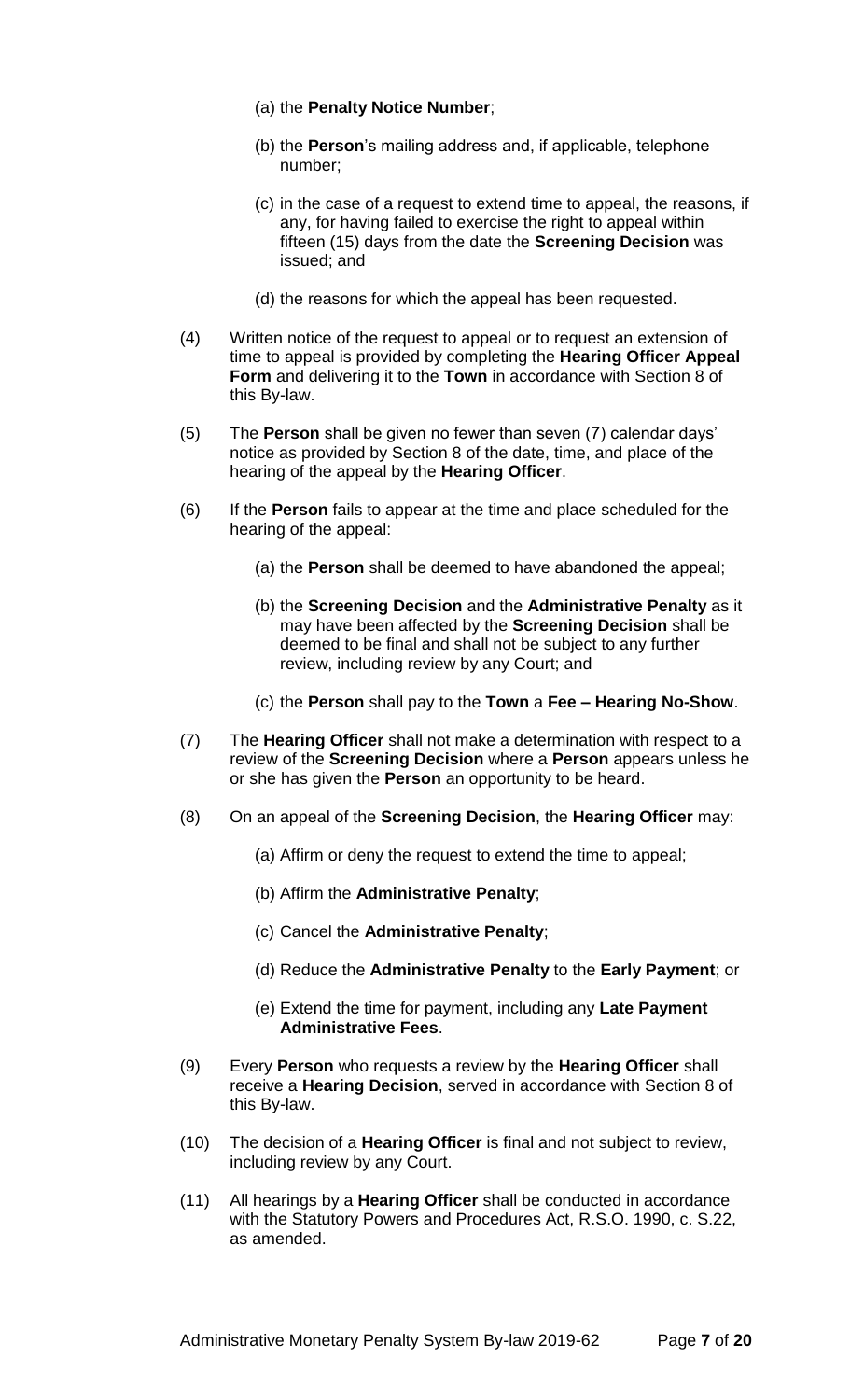- (a) the **Penalty Notice Number**;
- (b) the **Person**'s mailing address and, if applicable, telephone number;
- (c) in the case of a request to extend time to appeal, the reasons, if any, for having failed to exercise the right to appeal within fifteen (15) days from the date the **Screening Decision** was issued; and
- (d) the reasons for which the appeal has been requested.
- (4) Written notice of the request to appeal or to request an extension of time to appeal is provided by completing the **Hearing Officer Appeal Form** and delivering it to the **Town** in accordance with Section 8 of this By-law.
- (5) The **Person** shall be given no fewer than seven (7) calendar days' notice as provided by Section 8 of the date, time, and place of the hearing of the appeal by the **Hearing Officer**.
- (6) If the **Person** fails to appear at the time and place scheduled for the hearing of the appeal:
	- (a) the **Person** shall be deemed to have abandoned the appeal;
	- (b) the **Screening Decision** and the **Administrative Penalty** as it may have been affected by the **Screening Decision** shall be deemed to be final and shall not be subject to any further review, including review by any Court; and
	- (c) the **Person** shall pay to the **Town** a **Fee – Hearing No-Show**.
- (7) The **Hearing Officer** shall not make a determination with respect to a review of the **Screening Decision** where a **Person** appears unless he or she has given the **Person** an opportunity to be heard.
- (8) On an appeal of the **Screening Decision**, the **Hearing Officer** may:
	- (a) Affirm or deny the request to extend the time to appeal;
	- (b) Affirm the **Administrative Penalty**;
	- (c) Cancel the **Administrative Penalty**;
	- (d) Reduce the **Administrative Penalty** to the **Early Payment**; or
	- (e) Extend the time for payment, including any **Late Payment Administrative Fees**.
- (9) Every **Person** who requests a review by the **Hearing Officer** shall receive a **Hearing Decision**, served in accordance with Section 8 of this By-law.
- (10) The decision of a **Hearing Officer** is final and not subject to review, including review by any Court.
- (11) All hearings by a **Hearing Officer** shall be conducted in accordance with the Statutory Powers and Procedures Act, R.S.O. 1990, c. S.22, as amended.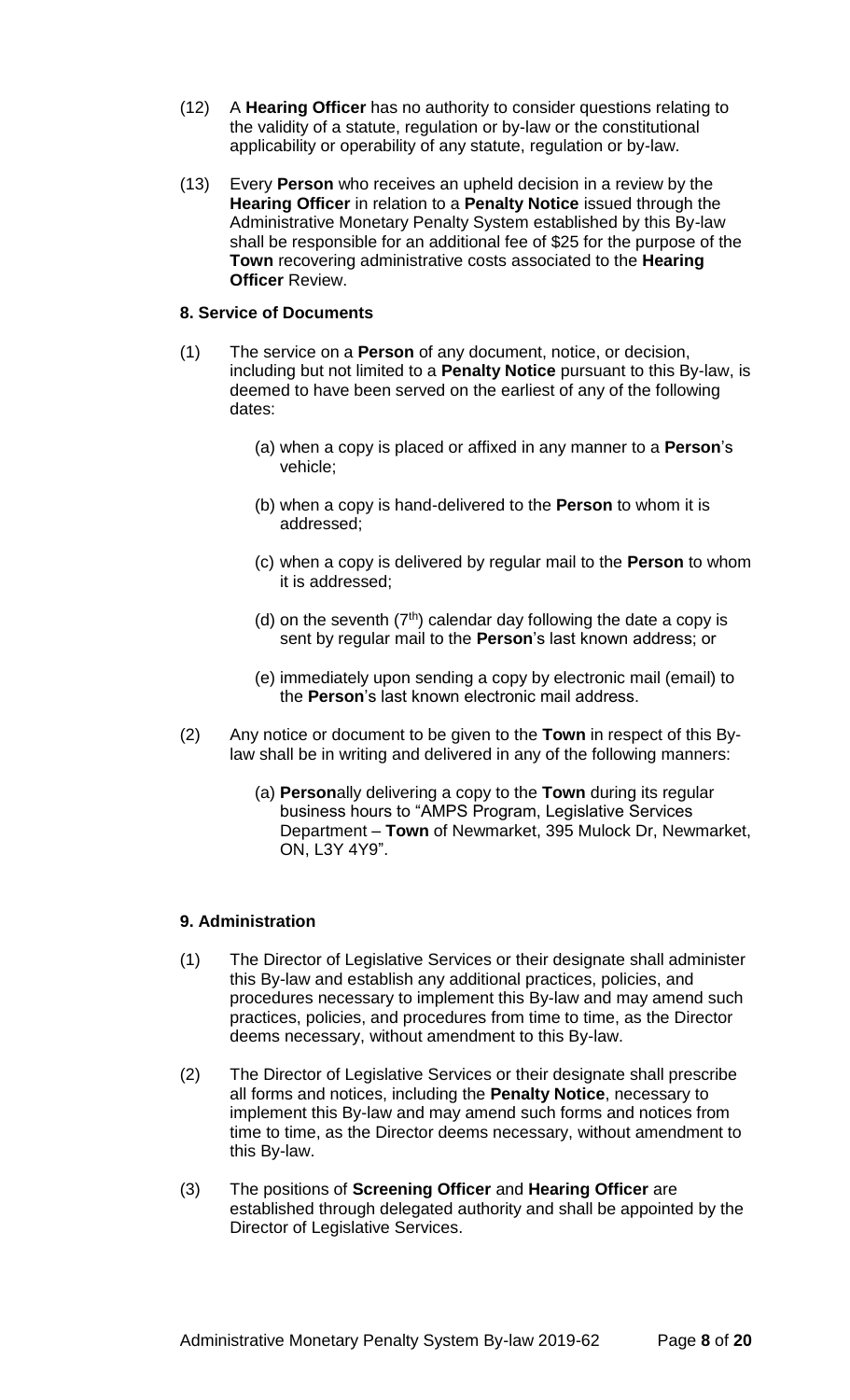- (12) A **Hearing Officer** has no authority to consider questions relating to the validity of a statute, regulation or by-law or the constitutional applicability or operability of any statute, regulation or by-law.
- (13) Every **Person** who receives an upheld decision in a review by the **Hearing Officer** in relation to a **Penalty Notice** issued through the Administrative Monetary Penalty System established by this By-law shall be responsible for an additional fee of \$25 for the purpose of the **Town** recovering administrative costs associated to the **Hearing Officer** Review.

### **8. Service of Documents**

- (1) The service on a **Person** of any document, notice, or decision, including but not limited to a **Penalty Notice** pursuant to this By-law, is deemed to have been served on the earliest of any of the following dates:
	- (a) when a copy is placed or affixed in any manner to a **Person**'s vehicle;
	- (b) when a copy is hand-delivered to the **Person** to whom it is addressed;
	- (c) when a copy is delivered by regular mail to the **Person** to whom it is addressed;
	- (d) on the seventh  $(7<sup>th</sup>)$  calendar day following the date a copy is sent by regular mail to the **Person**'s last known address; or
	- (e) immediately upon sending a copy by electronic mail (email) to the **Person**'s last known electronic mail address.
- (2) Any notice or document to be given to the **Town** in respect of this Bylaw shall be in writing and delivered in any of the following manners:
	- (a) **Person**ally delivering a copy to the **Town** during its regular business hours to "AMPS Program, Legislative Services Department – **Town** of Newmarket, 395 Mulock Dr, Newmarket, ON, L3Y 4Y9".

#### **9. Administration**

- (1) The Director of Legislative Services or their designate shall administer this By-law and establish any additional practices, policies, and procedures necessary to implement this By-law and may amend such practices, policies, and procedures from time to time, as the Director deems necessary, without amendment to this By-law.
- (2) The Director of Legislative Services or their designate shall prescribe all forms and notices, including the **Penalty Notice**, necessary to implement this By-law and may amend such forms and notices from time to time, as the Director deems necessary, without amendment to this By-law.
- (3) The positions of **Screening Officer** and **Hearing Officer** are established through delegated authority and shall be appointed by the Director of Legislative Services.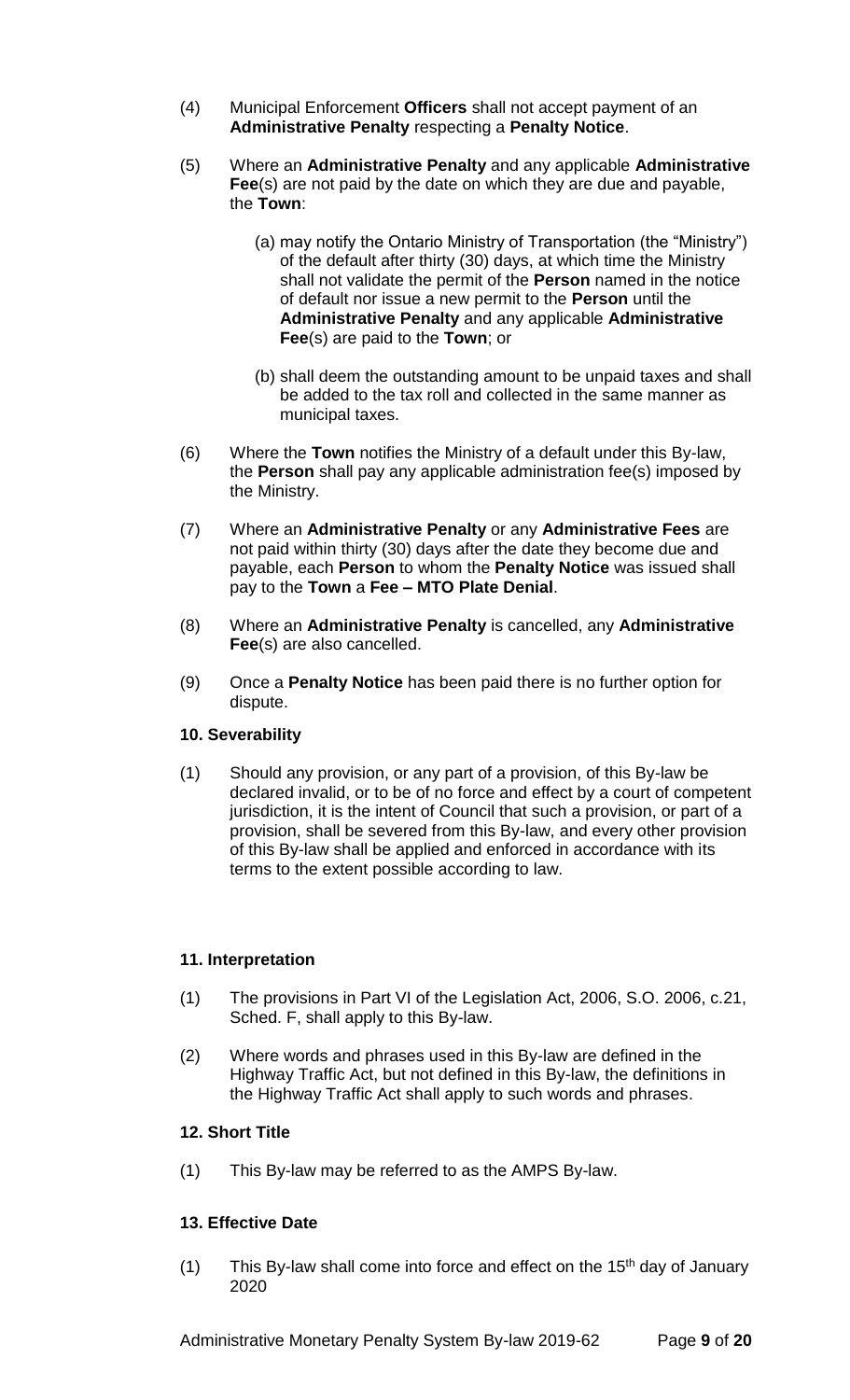- (4) Municipal Enforcement **Officers** shall not accept payment of an **Administrative Penalty** respecting a **Penalty Notice**.
- (5) Where an **Administrative Penalty** and any applicable **Administrative Fee**(s) are not paid by the date on which they are due and payable, the **Town**:
	- (a) may notify the Ontario Ministry of Transportation (the "Ministry") of the default after thirty (30) days, at which time the Ministry shall not validate the permit of the **Person** named in the notice of default nor issue a new permit to the **Person** until the **Administrative Penalty** and any applicable **Administrative Fee**(s) are paid to the **Town**; or
	- (b) shall deem the outstanding amount to be unpaid taxes and shall be added to the tax roll and collected in the same manner as municipal taxes.
- (6) Where the **Town** notifies the Ministry of a default under this By-law, the **Person** shall pay any applicable administration fee(s) imposed by the Ministry.
- (7) Where an **Administrative Penalty** or any **Administrative Fees** are not paid within thirty (30) days after the date they become due and payable, each **Person** to whom the **Penalty Notice** was issued shall pay to the **Town** a **Fee – MTO Plate Denial**.
- (8) Where an **Administrative Penalty** is cancelled, any **Administrative Fee**(s) are also cancelled.
- (9) Once a **Penalty Notice** has been paid there is no further option for dispute.

# **10. Severability**

(1) Should any provision, or any part of a provision, of this By-law be declared invalid, or to be of no force and effect by a court of competent jurisdiction, it is the intent of Council that such a provision, or part of a provision, shall be severed from this By-law, and every other provision of this By-law shall be applied and enforced in accordance with its terms to the extent possible according to law.

# **11. Interpretation**

- (1) The provisions in Part VI of the Legislation Act, 2006, S.O. 2006, c.21, Sched. F, shall apply to this By-law.
- (2) Where words and phrases used in this By-law are defined in the Highway Traffic Act, but not defined in this By-law, the definitions in the Highway Traffic Act shall apply to such words and phrases.

# **12. Short Title**

(1) This By-law may be referred to as the AMPS By-law.

# **13. Effective Date**

(1) This By-law shall come into force and effect on the  $15<sup>th</sup>$  day of January 2020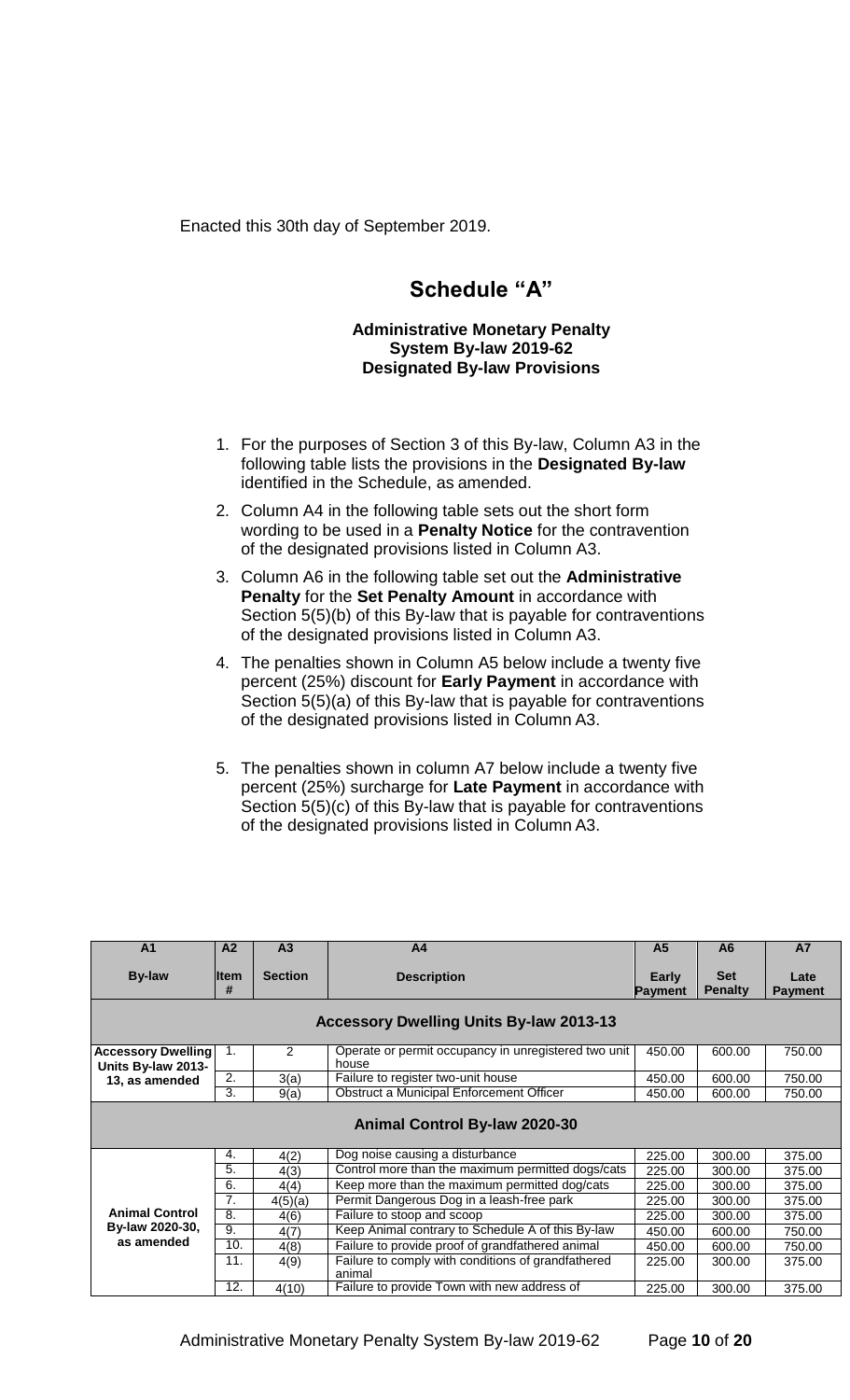Enacted this 30th day of September 2019.

# **Schedule "A"**

### **Administrative Monetary Penalty System By-law 2019-62 Designated By-law Provisions**

- 1. For the purposes of Section 3 of this By-law, Column A3 in the following table lists the provisions in the **Designated By-law**  identified in the Schedule, as amended.
- 2. Column A4 in the following table sets out the short form wording to be used in a **Penalty Notice** for the contravention of the designated provisions listed in Column A3.
- 3. Column A6 in the following table set out the **Administrative Penalty** for the **Set Penalty Amount** in accordance with Section 5(5)(b) of this By-law that is payable for contraventions of the designated provisions listed in Column A3.
- 4. The penalties shown in Column A5 below include a twenty five percent (25%) discount for **Early Payment** in accordance with Section 5(5)(a) of this By-law that is payable for contraventions of the designated provisions listed in Column A3.
- 5. The penalties shown in column A7 below include a twenty five percent (25%) surcharge for **Late Payment** in accordance with Section 5(5)(c) of this By-law that is payable for contraventions of the designated provisions listed in Column A3.

| A <sub>1</sub>                                  | A2                | A <sub>3</sub> | A <sub>4</sub>                                                | A <sub>5</sub>          | A6                           | <b>A7</b>              |
|-------------------------------------------------|-------------------|----------------|---------------------------------------------------------------|-------------------------|------------------------------|------------------------|
| <b>By-law</b>                                   | <b>Iltem</b><br># | <b>Section</b> | <b>Description</b>                                            | Early<br><b>Payment</b> | <b>Set</b><br><b>Penalty</b> | Late<br><b>Payment</b> |
|                                                 |                   |                | <b>Accessory Dwelling Units By-law 2013-13</b>                |                         |                              |                        |
| <b>Accessory Dwelling</b><br>Units By-law 2013- | 1.                | 2              | Operate or permit occupancy in unregistered two unit<br>house | 450.00                  | 600.00                       | 750.00                 |
| 13, as amended                                  | 2.                | 3(a)           | Failure to register two-unit house                            | 450.00                  | 600.00                       | 750.00                 |
|                                                 | 3.                | 9(a)           | Obstruct a Municipal Enforcement Officer                      | 450.00                  | 600.00                       | 750.00                 |
|                                                 |                   |                | <b>Animal Control By-law 2020-30</b>                          |                         |                              |                        |
|                                                 | 4.                | 4(2)           | Dog noise causing a disturbance                               | 225.00                  | 300.00                       | 375.00                 |
|                                                 | 5.                | 4(3)           | Control more than the maximum permitted dogs/cats             | 225.00                  | 300.00                       | 375.00                 |
|                                                 | 6.                | 4(4)           | Keep more than the maximum permitted dog/cats                 | 225.00                  | 300.00                       | 375.00                 |
|                                                 | 7.                | 4(5)(a)        | Permit Dangerous Dog in a leash-free park                     | 225.00                  | 300.00                       | 375.00                 |
| <b>Animal Control</b>                           | 8.                | 4(6)           | Failure to stoop and scoop                                    | 225.00                  | 300.00                       | 375.00                 |
| By-law 2020-30,                                 | 9.                | 4(7)           | Keep Animal contrary to Schedule A of this By-law             | 450.00                  | 600.00                       | 750.00                 |
| as amended                                      | 10.               | 4(8)           | Failure to provide proof of grandfathered animal              | 450.00                  | 600.00                       | 750.00                 |
|                                                 | 11.               | 4(9)           | Failure to comply with conditions of grandfathered<br>animal  | 225.00                  | 300.00                       | 375.00                 |
|                                                 | 12.               | 4(10)          | Failure to provide Town with new address of                   | 225.00                  | 300.00                       | 375.00                 |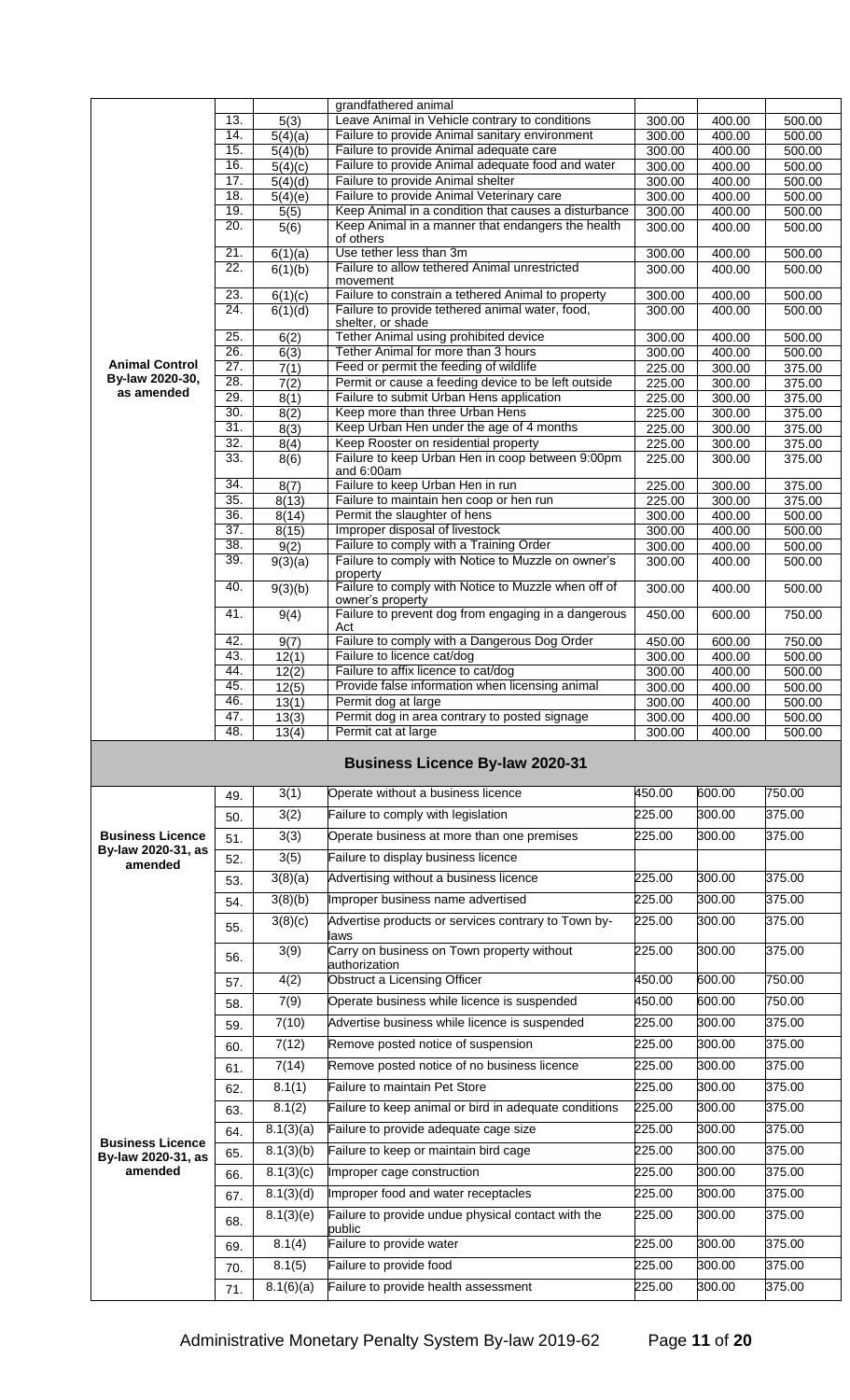|                         |            |                      | grandfathered animal                                                                            |                  |                  |                  |
|-------------------------|------------|----------------------|-------------------------------------------------------------------------------------------------|------------------|------------------|------------------|
|                         | 13.        | 5(3)                 | Leave Animal in Vehicle contrary to conditions                                                  | 300.00           | 400.00           | 500.00           |
|                         | 14.        | $\overline{5}(4)(a)$ | Failure to provide Animal sanitary environment                                                  | 300.00           | 400.00           | 500.00           |
|                         | 15.        | 5(4)(b)              | Failure to provide Animal adequate care                                                         | 300.00           | 400.00           | 500.00           |
|                         | 16.        | 5(4)(c)              | Failure to provide Animal adequate food and water                                               | 300.00           | 400.00           | 500.00           |
|                         | 17.        | 5(4)(d)              | Failure to provide Animal shelter                                                               | 300.00           | 400.00           | 500.00           |
|                         | 18.        | 5(4)(e)              | Failure to provide Animal Veterinary care                                                       | 300.00           | 400.00           | 500.00           |
|                         | 19.        | 5(5)                 | Keep Animal in a condition that causes a disturbance                                            | 300.00           | 400.00           | 500.00           |
|                         | 20.        | 5(6)                 | Keep Animal in a manner that endangers the health                                               | 300.00           | 400.00           | 500.00           |
|                         | 21.        |                      | of others<br>Use tether less than 3m                                                            |                  |                  | 500.00           |
|                         | 22.        | 6(1)(a)<br>6(1)(b)   | Failure to allow tethered Animal unrestricted                                                   | 300.00<br>300.00 | 400.00<br>400.00 | 500.00           |
|                         |            |                      | movement                                                                                        |                  |                  |                  |
|                         | 23.        | 6(1)(c)              | Failure to constrain a tethered Animal to property                                              | 300.00           | 400.00           | 500.00           |
|                         | 24.        | 6(1)(d)              | Failure to provide tethered animal water, food,                                                 | 300.00           | 400.00           | 500.00           |
|                         |            |                      | shelter, or shade                                                                               |                  |                  |                  |
|                         | 25.        | 6(2)                 | Tether Animal using prohibited device                                                           | 300.00           | 400.00           | 500.00           |
| <b>Animal Control</b>   | 26.        | 6(3)                 | Tether Animal for more than 3 hours                                                             | 300.00           | 400.00           | 500.00           |
| By-law 2020-30,         | 27.<br>28. | 7(1)                 | Feed or permit the feeding of wildlife                                                          | 225.00           | 300.00           | 375.00           |
| as amended              | 29.        | 7(2)                 | Permit or cause a feeding device to be left outside<br>Failure to submit Urban Hens application | 225.00           | 300.00           | 375.00           |
|                         | 30.        | 8(1)<br>8(2)         | Keep more than three Urban Hens                                                                 | 225.00<br>225.00 | 300.00<br>300.00 | 375.00<br>375.00 |
|                         | 31.        | 8(3)                 | Keep Urban Hen under the age of 4 months                                                        | 225.00           | 300.00           | 375.00           |
|                         | 32.        | 8(4)                 | Keep Rooster on residential property                                                            | 225.00           | 300.00           | 375.00           |
|                         | 33.        | 8(6)                 | Failure to keep Urban Hen in coop between 9:00pm                                                | 225.00           | 300.00           | 375.00           |
|                         |            |                      | and $6:00am$                                                                                    |                  |                  |                  |
|                         | 34.        | 8(7)                 | Failure to keep Urban Hen in run                                                                | 225.00           | 300.00           | 375.00           |
|                         | 35.        | 8(13)                | Failure to maintain hen coop or hen run                                                         | 225.00           | 300.00           | 375.00           |
|                         | 36.        | 8(14)                | Permit the slaughter of hens                                                                    | 300.00           | 400.00           | 500.00           |
|                         | 37.        | 8(15)                | Improper disposal of livestock                                                                  | 300.00           | 400.00           | 500.00           |
|                         | 38.        | 9(2)                 | Failure to comply with a Training Order                                                         | 300.00           | 400.00           | 500.00           |
|                         | 39.        | 9(3)(a)              | Failure to comply with Notice to Muzzle on owner's<br>property                                  | 300.00           | 400.00           | 500.00           |
|                         | 40.        | 9(3)(b)              | Failure to comply with Notice to Muzzle when off of                                             | 300.00           | 400.00           | 500.00           |
|                         |            |                      | owner's property                                                                                |                  |                  |                  |
|                         | 41.        | 9(4)                 | Failure to prevent dog from engaging in a dangerous<br>Act                                      | 450.00           | 600.00           | 750.00           |
|                         | 42.        | 9(7)                 | Failure to comply with a Dangerous Dog Order                                                    | 450.00           | 600.00           | 750.00           |
|                         | 43.        | $\overline{12(1)}$   | Failure to licence cat/dog                                                                      | 300.00           | 400.00           | 500.00           |
|                         | 44.        | 12(2)                | Failure to affix licence to cat/dog                                                             | 300.00           | 400.00           | 500.00           |
|                         | 45.        | $\overline{12(5)}$   | Provide false information when licensing animal                                                 | 300.00           | 400.00           | 500.00           |
|                         | 46.        | 13(1)                | Permit dog at large                                                                             | 300.00           | 400.00           | 500.00           |
|                         | 47.        | 13(3)                | Permit dog in area contrary to posted signage                                                   | 300.00           | 400.00           | 500.00           |
|                         | 48.        | 13(4)                | Permit cat at large                                                                             | 300.00           | 400.00           | 500.00           |
|                         |            |                      |                                                                                                 |                  |                  |                  |
|                         |            |                      | <b>Business Licence By-law 2020-31</b>                                                          |                  |                  |                  |
|                         | 49.        | 3(1)                 | Operate without a business licence                                                              | 450.00           | 600.00           | 750.00           |
|                         | 50.        | 3(2)                 | Failure to comply with legislation                                                              | 225.00           | 300.00           | 375.00           |
| <b>Business Licence</b> |            |                      |                                                                                                 |                  |                  |                  |
| By-law 2020-31, as      | 51.        | 3(3)                 | Operate business at more than one premises                                                      | 225.00           | 300.00           | 375.00           |
| amended                 | 52.        | 3(5)                 | Failure to display business licence                                                             |                  |                  |                  |
|                         | 53.        | 3(8)(a)              | Advertising without a business licence                                                          | 225.00           | 300.00           | 375.00           |
|                         | 54.        | 3(8)(b)              | Improper business name advertised                                                               | 225.00           | 300.00           | 375.00           |
|                         |            | 3(8)(c)              | Advertise products or services contrary to Town by-                                             | 225.00           | 300.00           | 375.00           |
|                         | 55.        |                      | laws                                                                                            |                  |                  |                  |
|                         | 56.        | 3(9)                 | Carry on business on Town property without                                                      | 225.00           | 300.00           | 375.00           |
|                         |            | 4(2)                 | authorization<br>Obstruct a Licensing Officer                                                   | 450.00           | 600.00           | 750.00           |
|                         | 57.        |                      |                                                                                                 |                  |                  |                  |
|                         | 58.        | 7(9)                 | Operate business while licence is suspended                                                     | 450.00           | 600.00           | 750.00           |
|                         | 59.        | 7(10)                | Advertise business while licence is suspended                                                   | 225.00           | 300.00           | 375.00           |
|                         | 60.        | 7(12)                | Remove posted notice of suspension                                                              | 225.00           | 300.00           | 375.00           |
|                         |            | 7(14)                | Remove posted notice of no business licence                                                     | 225.00           | 300.00           | 375.00           |
|                         | 61.        |                      |                                                                                                 |                  |                  |                  |
|                         | 62.        | 8.1(1)               | <b>Failure to maintain Pet Store</b>                                                            | 225.00           | 300.00           | 375.00           |
|                         | 63.        | 8.1(2)               | Failure to keep animal or bird in adequate conditions                                           | 225.00           | 300.00           | 375.00           |
|                         | 64.        | 8.1(3)(a)            | Failure to provide adequate cage size                                                           | 225.00           | 300.00           | 375.00           |
| <b>Business Licence</b> |            |                      |                                                                                                 | 225.00           | 300.00           | 375.00           |
| By-law 2020-31, as      | 65.        | 8.1(3)(b)            | Failure to keep or maintain bird cage                                                           |                  |                  |                  |
| amended                 | 66.        | 8.1(3)(c)            | Improper cage construction                                                                      | 225.00           | 300.00           | 375.00           |
|                         | 67.        | 8.1(3)(d)            | Improper food and water receptacles                                                             | 225.00           | 300.00           | 375.00           |
|                         |            | 8.1(3)(e)            | Failure to provide undue physical contact with the                                              | 225.00           | 300.00           | 375.00           |
|                         | 68.        |                      | public                                                                                          |                  |                  |                  |
|                         | 69.        | 8.1(4)               | Failure to provide water                                                                        | 225.00           | 300.00           | 375.00           |
|                         | 70.        | 8.1(5)<br>8.1(6)(a)  | Failure to provide food<br>Failure to provide health assessment                                 | 225.00<br>225.00 | 300.00<br>300.00 | 375.00<br>375.00 |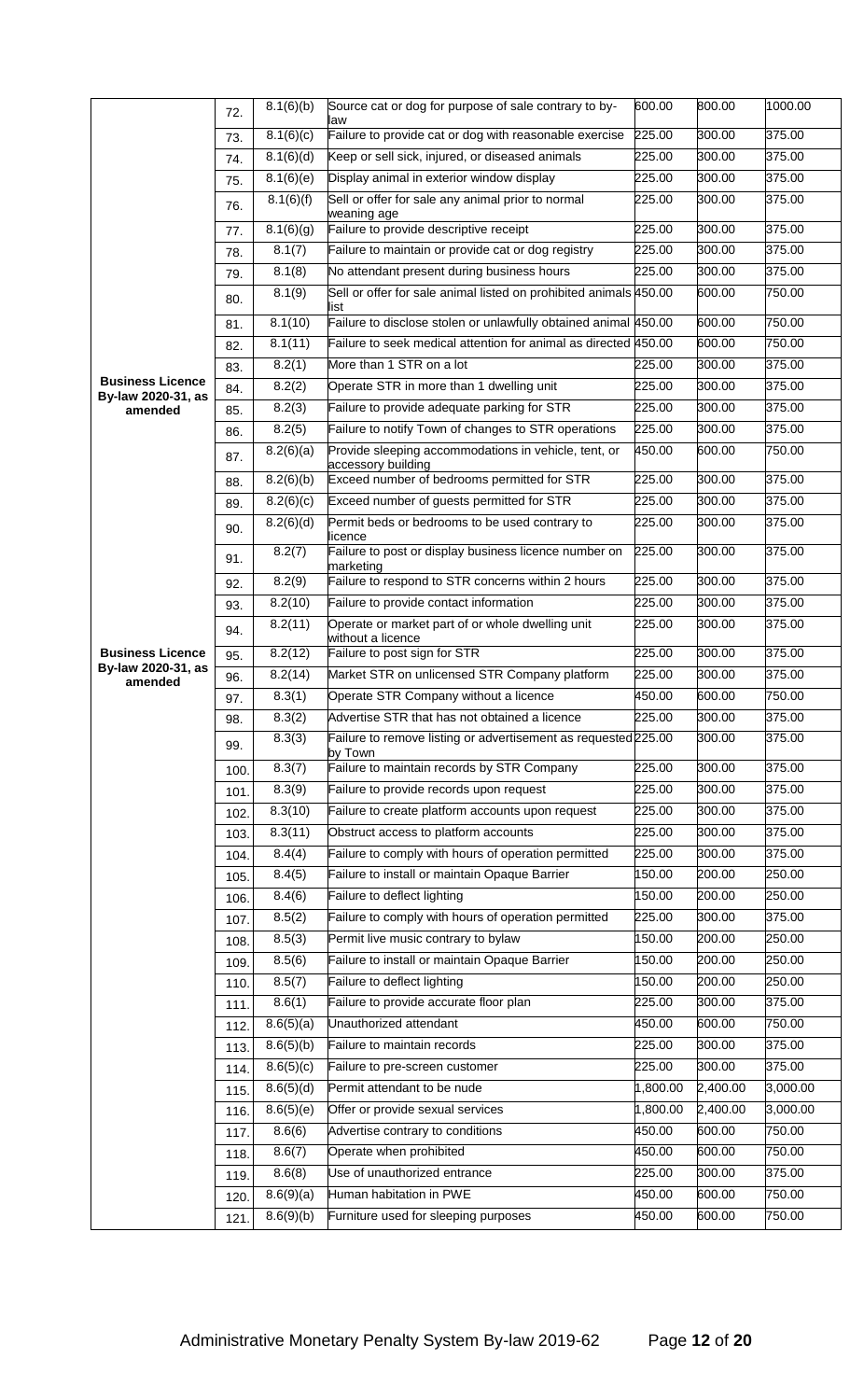|                                               | 72.  | 8.1(6)(b)           | Source cat or dog for purpose of sale contrary to by-                      | 600.00           | 800.00           | 1000.00          |
|-----------------------------------------------|------|---------------------|----------------------------------------------------------------------------|------------------|------------------|------------------|
|                                               | 73.  | 8.1(6)(c)           | law<br>Failure to provide cat or dog with reasonable exercise              | 225.00           | 300.00           | 375.00           |
|                                               | 74.  | 8.1(6)(d)           | Keep or sell sick, injured, or diseased animals                            | 225.00           | 300.00           | 375.00           |
|                                               | 75.  | 8.1(6)(e)           | Display animal in exterior window display                                  | 225.00           | 300.00           | 375.00           |
|                                               | 76.  | 8.1(6)(f)           | Sell or offer for sale any animal prior to normal                          | 225.00           | 300.00           | 375.00           |
|                                               | 77.  | 8.1(6)(g)           | weaning age<br>Failure to provide descriptive receipt                      | 225.00           | 300.00           | 375.00           |
|                                               | 78.  | 8.1(7)              | Failure to maintain or provide cat or dog registry                         | 225.00           | 300.00           | 375.00           |
|                                               | 79.  | $\overline{8.1(8)}$ | No attendant present during business hours                                 | 225.00           | 300.00           | 375.00           |
|                                               | 80.  | 8.1(9)              | Sell or offer for sale animal listed on prohibited animals 450.00<br>list  |                  | 600.00           | 750.00           |
|                                               | 81.  | 8.1(10)             | Failure to disclose stolen or unlawfully obtained animal 450.00            |                  | 600.00           | 750.00           |
|                                               | 82.  | 8.1(11)             | Failure to seek medical attention for animal as directed 450.00            |                  | 600.00           | 750.00           |
|                                               | 83.  | 8.2(1)              | More than 1 STR on a lot                                                   | 225.00           | 300.00           | 375.00           |
| <b>Business Licence</b><br>By-law 2020-31, as | 84.  | 8.2(2)              | Operate STR in more than 1 dwelling unit                                   | 225.00           | 300.00           | 375.00           |
| amended                                       | 85.  | 8.2(3)              | Failure to provide adequate parking for STR                                | 225.00           | 300.00           | 375.00           |
|                                               | 86.  | 8.2(5)              | Failure to notify Town of changes to STR operations                        | 225.00           | 300.00           | 375.00           |
|                                               | 87.  | 8.2(6)(a)           | Provide sleeping accommodations in vehicle, tent, or<br>accessory building | 450.00           | 600.00           | 750.00           |
|                                               | 88.  | 8.2(6)(b)           | Exceed number of bedrooms permitted for STR                                | 225.00           | 300.00           | 375.00           |
|                                               | 89.  | 8.2(6)(c)           | Exceed number of guests permitted for STR                                  | 225.00           | 300.00           | 375.00           |
|                                               | 90.  | 8.2(6)(d)           | Permit beds or bedrooms to be used contrary to<br>licence                  | 225.00           | 300.00           | 375.00           |
|                                               | 91.  | 8.2(7)              | Failure to post or display business licence number on<br>marketing         | 225.00           | 300.00           | 375.00           |
|                                               | 92.  | 8.2(9)              | Failure to respond to STR concerns within 2 hours                          | 225.00           | 300.00           | 375.00           |
|                                               | 93.  | 8.2(10)             | Failure to provide contact information                                     | 225.00           | 300.00           | 375.00           |
|                                               | 94.  | 8.2(11)             | Operate or market part of or whole dwelling unit<br>without a licence      | 225.00           | 300.00           | 375.00           |
| <b>Business Licence</b>                       | 95.  | 8.2(12)             | Failure to post sign for STR                                               | 225.00           | 300.00           | 375.00           |
| By-law 2020-31, as<br>amended                 | 96.  | 8.2(14)             | Market STR on unlicensed STR Company platform                              | 225.00           | 300.00           | 375.00           |
|                                               | 97.  | 8.3(1)              | Operate STR Company without a licence                                      | 450.00           | 600.00           | 750.00           |
|                                               | 98.  | 8.3(2)              | Advertise STR that has not obtained a licence                              | 225.00           | 300.00           | 375.00           |
|                                               | 99.  | 8.3(3)              | Failure to remove listing or advertisement as requested 225.00<br>by Town  |                  | 300.00           | 375.00           |
|                                               | 100. | 8.3(7)              | Failure to maintain records by STR Company                                 | 225.00           | 300.00           | 375.00           |
|                                               | 101. | 8.3(9)              | Failure to provide records upon request                                    | 225.00           | 300.00           | 375.00           |
|                                               | 102. | 8.3(10)             | Failure to create platform accounts upon request                           | 225.00           | 300.00           | 375.00           |
|                                               | 103. | 8.3(11)             | Obstruct access to platform accounts                                       | 225.00           | 300.00           | 375.00           |
|                                               | 104. | 8.4(4)              | Failure to comply with hours of operation permitted                        | 225.00           | 300.00           | 375.00           |
|                                               | 105. | 8.4(5)              | Failure to install or maintain Opaque Barrier                              | 150.00           | 200.00           | 250.00           |
|                                               | 106. | 8.4(6)              | Failure to deflect lighting                                                | 150.00           | 200.00           | 250.00           |
|                                               | 107. | 8.5(2)              | Failure to comply with hours of operation permitted                        | 225.00           | 300.00           | 375.00           |
|                                               | 108. | 8.5(3)              | Permit live music contrary to bylaw                                        | 150.00           | 200.00           | 250.00           |
|                                               | 109. | 8.5(6)              | Failure to install or maintain Opaque Barrier                              | 150.00           | 200.00           | 250.00           |
|                                               | 110. | 8.5(7)              | Failure to deflect lighting                                                | 150.00           | 200.00           | 250.00           |
|                                               | 111. | 8.6(1)              | Failure to provide accurate floor plan                                     | 225.00           | 300.00           | 375.00           |
|                                               | 112. | 8.6(5)(a)           | Unauthorized attendant                                                     | 450.00           | 600.00           | 750.00           |
|                                               | 113. | 8.6(5)(b)           | Failure to maintain records                                                | 225.00           | 300.00           | 375.00           |
|                                               | 114. | 8.6(5)(c)           | Failure to pre-screen customer                                             | 225.00           | 300.00           | 375.00           |
|                                               | 115. | 8.6(5)(d)           | Permit attendant to be nude                                                | 1,800.00         | 2,400.00         | 3,000.00         |
|                                               | 116. | 8.6(5)(e)           | Offer or provide sexual services                                           | 1,800.00         | 2,400.00         | 3,000.00         |
|                                               | 117. | 8.6(6)              | Advertise contrary to conditions                                           | 450.00           | 600.00           | 750.00           |
|                                               | 118. | 8.6(7)              | Operate when prohibited                                                    | 450.00           | 600.00           | 750.00           |
|                                               | 119. | 8.6(8)              | Use of unauthorized entrance<br>Human habitation in PWE                    | 225.00<br>450.00 | 300.00<br>600.00 | 375.00           |
|                                               | 120. | 8.6(9)(a)           | Furniture used for sleeping purposes                                       | 450.00           | 600.00           | 750.00<br>750.00 |
|                                               | 121. | 8.6(9)(b)           |                                                                            |                  |                  |                  |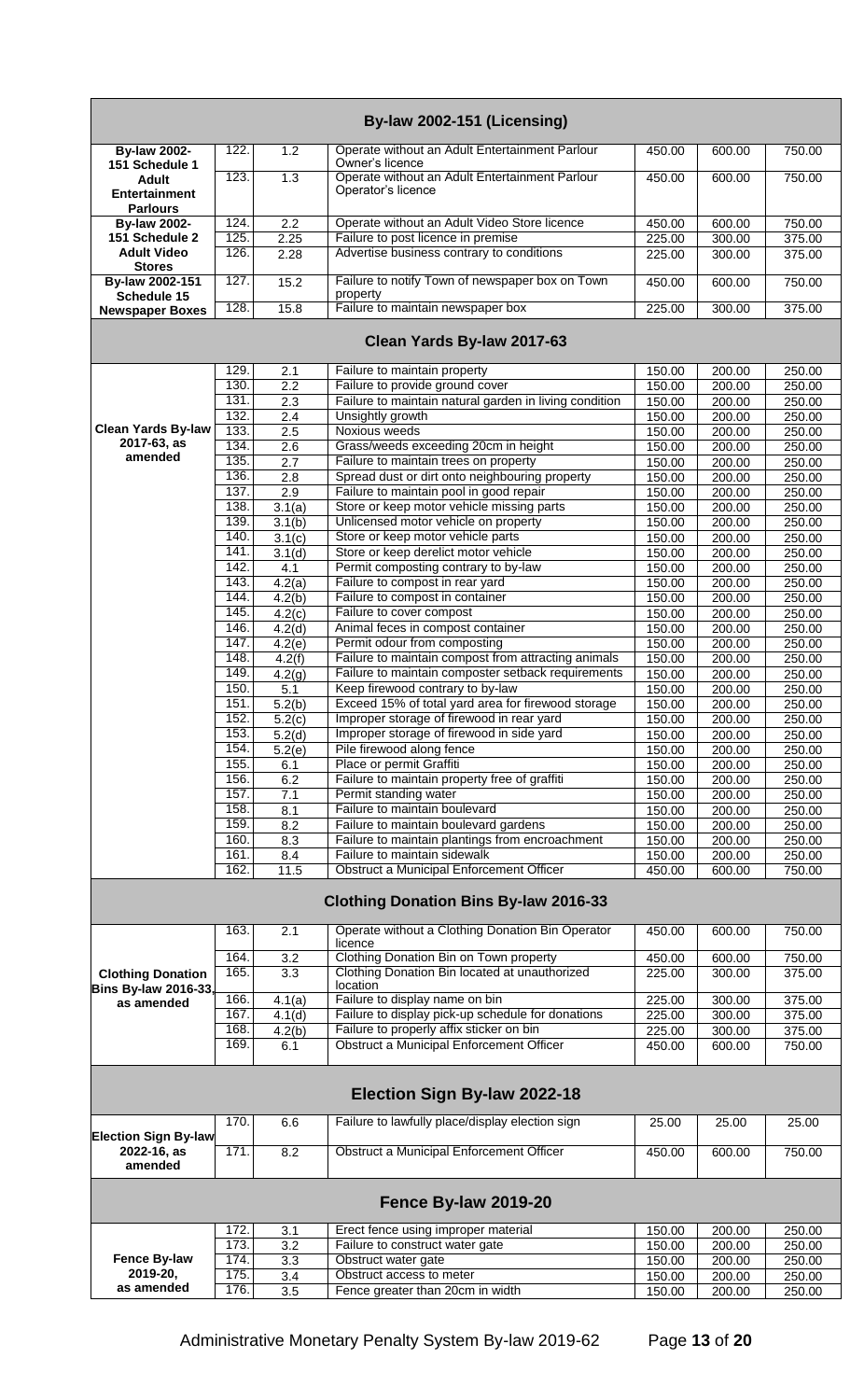|                                                       |              |                     | By-law 2002-151 (Licensing)                                                                        |                  |                  |                  |
|-------------------------------------------------------|--------------|---------------------|----------------------------------------------------------------------------------------------------|------------------|------------------|------------------|
| <b>By-law 2002-</b><br>151 Schedule 1                 | 122.         | 1.2                 | Operate without an Adult Entertainment Parlour<br>Owner's licence                                  | 450.00           | 600.00           | 750.00           |
| <b>Adult</b><br>Entertainment<br><b>Parlours</b>      | 123.         | 1.3                 | Operate without an Adult Entertainment Parlour<br>Operator's licence                               | 450.00           | 600.00           | 750.00           |
| <b>By-law 2002-</b>                                   | 124.         | 2.2                 | Operate without an Adult Video Store licence                                                       | 450.00           | 600.00           | 750.00           |
| 151 Schedule 2                                        | 125.         | 2.25                | Failure to post licence in premise                                                                 | 225.00           | 300.00           | 375.00           |
| <b>Adult Video</b><br><b>Stores</b>                   | 126.         | 2.28                | Advertise business contrary to conditions                                                          | 225.00           | 300.00           | 375.00           |
| By-law 2002-151<br>Schedule 15                        | 127.         | 15.2                | Failure to notify Town of newspaper box on Town<br>property                                        | 450.00           | 600.00           | 750.00           |
| <b>Newspaper Boxes</b>                                | 128.         | 15.8                | Failure to maintain newspaper box                                                                  | 225.00           | 300.00           | 375.00           |
|                                                       |              |                     | Clean Yards By-law 2017-63                                                                         |                  |                  |                  |
|                                                       | 129.         | 2.1                 | Failure to maintain property                                                                       | 150.00           | 200.00           | 250.00           |
|                                                       | 130.         | 2.2                 | Failure to provide ground cover                                                                    | 150.00           | 200.00           | 250.00           |
|                                                       | 131.<br>132. | 2.3                 | Failure to maintain natural garden in living condition                                             | 150.00           | 200.00           | 250.00           |
| <b>Clean Yards By-law</b>                             | 133.         | 2.4<br>2.5          | Unsightly growth<br>Noxious weeds                                                                  | 150.00           | 200.00           | 250.00           |
| 2017-63, as                                           | 134.         | 2.6                 | Grass/weeds exceeding 20cm in height                                                               | 150.00<br>150.00 | 200.00<br>200.00 | 250.00<br>250.00 |
| amended                                               | 135.         | 2.7                 | Failure to maintain trees on property                                                              | 150.00           | 200.00           | 250.00           |
|                                                       | 136.         | 2.8                 | Spread dust or dirt onto neighbouring property                                                     | 150.00           | 200.00           | 250.00           |
|                                                       | 137.         | 2.9                 | Failure to maintain pool in good repair                                                            | 150.00           | 200.00           | 250.00           |
|                                                       | 138.         | 3.1(a)              | Store or keep motor vehicle missing parts                                                          | 150.00           | 200.00           | 250.00           |
|                                                       | 139          | $\overline{3}.1(b)$ | Unlicensed motor vehicle on property                                                               | 150.00           | 200.00           | 250.00           |
|                                                       | 140.         | 3.1(c)              | Store or keep motor vehicle parts                                                                  | 150.00           | 200.00           | 250.00           |
|                                                       | 141.         | 3.1(d)              | Store or keep derelict motor vehicle                                                               | 150.00           | 200.00           | 250.00           |
|                                                       | 142.         | 4.1                 | Permit composting contrary to by-law                                                               | 150.00           | 200.00           | 250.00           |
|                                                       | 143.         | 4.2(a)              | Failure to compost in rear yard                                                                    | 150.00           | 200.00           | 250.00           |
|                                                       | 144.         | 4.2(b)              | Failure to compost in container                                                                    | 150.00           | 200.00           | 250.00           |
|                                                       | 145.         | 4.2(c)              | Failure to cover compost                                                                           | 150.00           | 200.00           | 250.00           |
|                                                       | 146.         | 4.2 <sub>d</sub>    | Animal feces in compost container                                                                  | 150.00           | 200.00           | 250.00           |
|                                                       | 147.         | 4.2(e)              | Permit odour from composting                                                                       | 150.00           | 200.00           | 250.00           |
|                                                       | 148.         | 4.2(f)              | Failure to maintain compost from attracting animals                                                | 150.00           | 200.00           | 250.00           |
|                                                       | 149.         | 4.2(g)              | Failure to maintain composter setback requirements                                                 | 150.00           | 200.00           | 250.00           |
|                                                       | 150.         | 5.1                 | Keep firewood contrary to by-law                                                                   | 150.00           | 200.00           | 250.00           |
|                                                       | 151.         | 5.2(b)              | Exceed 15% of total yard area for firewood storage                                                 | 150.00           | 200.00           | 250.00           |
|                                                       | 152.         | 5.2(c)              | Improper storage of firewood in rear yard                                                          | 150.00           | 200.00           | 250.00           |
|                                                       | 153.         | 5.2(d)              | Improper storage of firewood in side yard                                                          | 150.00           | 200.00           | 250.00           |
|                                                       | 154.         | 5.2(e)              | Pile firewood along fence                                                                          | 150.00           | 200.00           | 250.00           |
|                                                       | 155.         | 6.1                 | Place or permit Graffiti                                                                           | 150.00           | 200.00           | 250.00           |
|                                                       | 156.         | 6.2                 | Failure to maintain property free of graffiti                                                      | 150.00           | 200.00           | 250.00           |
|                                                       | 157.         | 7.1                 | Permit standing water                                                                              | 150.00           | 200.00           | 250.00           |
|                                                       | 158.         | 8.1                 | Failure to maintain boulevard                                                                      | 150.00           | 200.00           | 250.00           |
|                                                       | 159.         | 8.2                 | Failure to maintain boulevard gardens                                                              | 150.00           | 200.00           | 250.00           |
|                                                       | 160.         | 8.3                 | Failure to maintain plantings from encroachment                                                    | 150.00           | 200.00           | 250.00           |
|                                                       | 161.         | 8.4                 | Failure to maintain sidewalk                                                                       | 150.00           | 200.00           | 250.00           |
|                                                       | 162.         | 11.5                | <b>Obstruct a Municipal Enforcement Officer</b>                                                    | 450.00           | 600.00           | 750.00           |
|                                                       |              |                     | <b>Clothing Donation Bins By-law 2016-33</b>                                                       |                  |                  |                  |
|                                                       | 163.         | 2.1                 | Operate without a Clothing Donation Bin Operator<br>licence                                        | 450.00           | 600.00           | 750.00           |
|                                                       | 164.         | 3.2                 | Clothing Donation Bin on Town property                                                             | 450.00           | 600.00           | 750.00           |
| <b>Clothing Donation</b>                              | 165.         | $\overline{3.3}$    | Clothing Donation Bin located at unauthorized                                                      | 225.00           | 300.00           | 375.00           |
| <b>Bins By-law 2016-33,</b>                           |              |                     | location                                                                                           |                  |                  |                  |
| as amended                                            | 166.         | 4.1(a)              | Failure to display name on bin                                                                     | 225.00           | 300.00           | 375.00           |
|                                                       | 167.         | 4.1(d)              | Failure to display pick-up schedule for donations                                                  | 225.00           | 300.00           | 375.00           |
|                                                       | 168.<br>169. | 4.2(b)              | Failure to properly affix sticker on bin<br>Obstruct a Municipal Enforcement Officer               | 225.00           | 300.00           | 375.00           |
|                                                       |              | 6.1                 |                                                                                                    | 450.00           | 600.00           | 750.00           |
|                                                       |              |                     | Election Sign By-law 2022-18                                                                       |                  |                  |                  |
| <b>Election Sign By-law</b><br>2022-16, as<br>amended | 170.<br>171. | 6.6<br>8.2          | Failure to lawfully place/display election sign<br><b>Obstruct a Municipal Enforcement Officer</b> | 25.00<br>450.00  | 25.00<br>600.00  | 25.00<br>750.00  |
|                                                       |              |                     | Fence By-law 2019-20                                                                               |                  |                  |                  |
|                                                       | 172.         |                     | Erect fence using improper material                                                                |                  |                  | 250.00           |
|                                                       | 173.         | 3.1<br>3.2          | Failure to construct water gate                                                                    | 150.00<br>150.00 | 200.00<br>200.00 | 250.00           |
| <b>Fence By-law</b>                                   | 174.         | $\overline{3.3}$    | Obstruct water gate                                                                                | 150.00           | 200.00           | 250.00           |
| 2019-20,                                              | 175.         | $\overline{3.4}$    | Obstruct access to meter                                                                           | 150.00           | 200.00           | 250.00           |
| as amended                                            | 176.         | $\overline{3.5}$    | Fence greater than 20cm in width                                                                   | 150.00           | 200.00           | 250.00           |
|                                                       |              |                     |                                                                                                    |                  |                  |                  |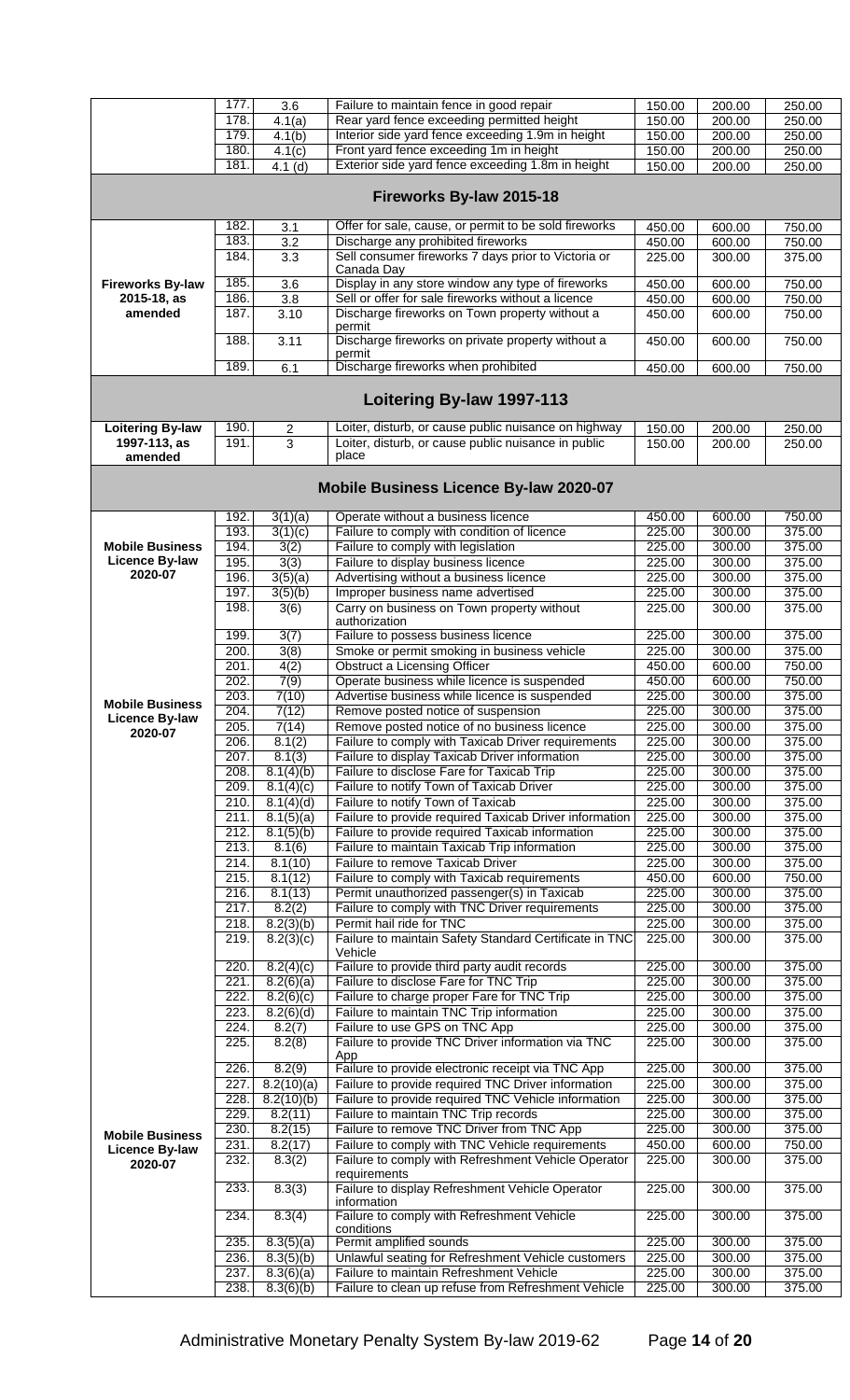|                         | 177. | 3.6                  | Failure to maintain fence in good repair               | 150.00 | 200.00 | 250.00 |
|-------------------------|------|----------------------|--------------------------------------------------------|--------|--------|--------|
|                         | 178. | $\overline{4.1}$ (a) | Rear yard fence exceeding permitted height             | 150.00 | 200.00 | 250.00 |
|                         | 179. | 4.1(b)               | Interior side yard fence exceeding 1.9m in height      | 150.00 | 200.00 | 250.00 |
|                         | 180. |                      | Front yard fence exceeding 1m in height                |        |        |        |
|                         |      | 4.1(c)               |                                                        | 150.00 | 200.00 | 250.00 |
|                         | 181. | $4.1$ (d)            | Exterior side yard fence exceeding 1.8m in height      | 150.00 | 200.00 | 250.00 |
|                         |      |                      |                                                        |        |        |        |
|                         |      |                      | Fireworks By-law 2015-18                               |        |        |        |
|                         | 182. | 3.1                  | Offer for sale, cause, or permit to be sold fireworks  | 450.00 | 600.00 | 750.00 |
|                         | 183. | $\overline{3.2}$     | Discharge any prohibited fireworks                     | 450.00 | 600.00 | 750.00 |
|                         |      |                      |                                                        |        |        |        |
|                         | 184. | $\overline{3.3}$     | Sell consumer fireworks 7 days prior to Victoria or    | 225.00 | 300.00 | 375.00 |
|                         |      |                      | Canada Day                                             |        |        |        |
| <b>Fireworks By-law</b> | 185. | 3.6                  | Display in any store window any type of fireworks      | 450.00 | 600.00 | 750.00 |
| 2015-18, as             | 186. | $\overline{3.8}$     | Sell or offer for sale fireworks without a licence     | 450.00 | 600.00 | 750.00 |
| amended                 | 187. | 3.10                 | Discharge fireworks on Town property without a         | 450.00 | 600.00 | 750.00 |
|                         |      |                      | permit                                                 |        |        |        |
|                         | 188. | 3.11                 | Discharge fireworks on private property without a      | 450.00 | 600.00 | 750.00 |
|                         |      |                      | permit                                                 |        |        |        |
|                         | 189. |                      | Discharge fireworks when prohibited                    |        |        |        |
|                         |      | 6.1                  |                                                        | 450.00 | 600.00 | 750.00 |
|                         |      |                      |                                                        |        |        |        |
|                         |      |                      | Loitering By-law 1997-113                              |        |        |        |
|                         |      |                      |                                                        |        |        |        |
| <b>Loitering By-law</b> | 190. | $\overline{c}$       | Loiter, disturb, or cause public nuisance on highway   | 150.00 | 200.00 | 250.00 |
| 1997-113, as            | 191. | 3                    | Loiter, disturb, or cause public nuisance in public    | 150.00 | 200.00 | 250.00 |
| amended                 |      |                      | place                                                  |        |        |        |
|                         |      |                      |                                                        |        |        |        |
|                         |      |                      | Mobile Business Licence By-law 2020-07                 |        |        |        |
|                         | 192. | 3(1)(a)              | Operate without a business licence                     | 450.00 | 600.00 | 750.00 |
|                         | 193. | 3(1)(c)              | Failure to comply with condition of licence            | 225.00 | 300.00 | 375.00 |
| <b>Mobile Business</b>  | 194. | 3(2)                 | Failure to comply with legislation                     | 225.00 | 300.00 | 375.00 |
|                         |      |                      |                                                        |        |        |        |
| Licence By-law          | 195. | 3(3)                 | Failure to display business licence                    | 225.00 | 300.00 | 375.00 |
| 2020-07                 | 196. | 3(5)(a)              | Advertising without a business licence                 | 225.00 | 300.00 | 375.00 |
|                         | 197. | 3(5)(b)              | Improper business name advertised                      | 225.00 | 300.00 | 375.00 |
|                         | 198. | 3(6)                 | Carry on business on Town property without             | 225.00 | 300.00 | 375.00 |
|                         |      |                      | authorization                                          |        |        |        |
|                         | 199. | 3(7)                 | Failure to possess business licence                    | 225.00 | 300.00 | 375.00 |
|                         |      |                      |                                                        |        |        |        |
|                         | 200. | 3(8)                 | Smoke or permit smoking in business vehicle            | 225.00 | 300.00 | 375.00 |
|                         | 201. | 4(2)                 | <b>Obstruct a Licensing Officer</b>                    | 450.00 | 600.00 | 750.00 |
|                         | 202. | 7(9)                 | Operate business while licence is suspended            | 450.00 | 600.00 | 750.00 |
|                         | 203. | 7(10)                | Advertise business while licence is suspended          | 225.00 | 300.00 | 375.00 |
| <b>Mobile Business</b>  | 204. | 7(12)                | Remove posted notice of suspension                     | 225.00 | 300.00 | 375.00 |
| Licence By-law          |      |                      |                                                        |        |        |        |
| 2020-07                 | 205. | 7(14)                | Remove posted notice of no business licence            | 225.00 | 300.00 | 375.00 |
|                         | 206. | 8.1(2)               | Failure to comply with Taxicab Driver requirements     | 225.00 | 300.00 | 375.00 |
|                         | 207. | 8.1(3)               | Failure to display Taxicab Driver information          | 225.00 | 300.00 | 375.00 |
|                         | 208. | 8.1(4)(b)            | Failure to disclose Fare for Taxicab Trip              | 225.00 | 300.00 | 375.00 |
|                         | 209. | 8.1(4)(c)            | Failure to notify Town of Taxicab Driver               | 225.00 | 300.00 | 375.00 |
|                         | 210. | 8.1(4)(d)            | Failure to notify Town of Taxicab                      | 225.00 | 300.00 | 375.00 |
|                         |      |                      |                                                        |        |        |        |
|                         | 211. | 8.1(5)(a)            | Failure to provide required Taxicab Driver information | 225.00 | 300.00 | 375.00 |
|                         | 212. | 8.1(5)(b)            | Failure to provide required Taxicab information        | 225.00 | 300.00 | 375.00 |
|                         | 213. | 8.1(6)               | Failure to maintain Taxicab Trip information           | 225.00 | 300.00 | 375.00 |
|                         | 214. | 8.1(10)              | Failure to remove Taxicab Driver                       | 225.00 | 300.00 | 375.00 |
|                         | 215. | 8.1(12)              | Failure to comply with Taxicab requirements            | 450.00 | 600.00 | 750.00 |
|                         | 216. |                      |                                                        | 225.00 | 300.00 | 375.00 |
|                         |      | 8.1(13)              | Permit unauthorized passenger(s) in Taxicab            |        |        |        |
|                         | 217. | 8.2(2)               | Failure to comply with TNC Driver requirements         | 225.00 | 300.00 | 375.00 |
|                         | 218. | 8.2(3)(b)            | Permit hail ride for TNC                               | 225.00 | 300.00 | 375.00 |
|                         | 219. | 8.2(3)(c)            | Failure to maintain Safety Standard Certificate in TNC | 225.00 | 300.00 | 375.00 |
|                         |      |                      | Vehicle                                                |        |        |        |
|                         | 220. | 8.2(4)(c)            | Failure to provide third party audit records           | 225.00 | 300.00 | 375.00 |
|                         | 221. | 8.2(6)(a)            | Failure to disclose Fare for TNC Trip                  | 225.00 | 300.00 | 375.00 |
|                         | 222. | 8.2(6)(c)            | Failure to charge proper Fare for TNC Trip             | 225.00 | 300.00 | 375.00 |
|                         | 223. | 8.2(6)(d)            | Failure to maintain TNC Trip information               | 225.00 | 300.00 | 375.00 |
|                         |      |                      |                                                        |        |        |        |
|                         | 224. | 8.2(7)               | Failure to use GPS on TNC App                          | 225.00 | 300.00 | 375.00 |
|                         | 225. | 8.2(8)               | Failure to provide TNC Driver information via TNC      | 225.00 | 300.00 | 375.00 |
|                         |      |                      | App                                                    |        |        |        |
|                         | 226. | 8.2(9)               | Failure to provide electronic receipt via TNC App      | 225.00 | 300.00 | 375.00 |
|                         | 227. | 8.2(10)(a)           | Failure to provide required TNC Driver information     | 225.00 | 300.00 | 375.00 |
|                         | 228. | 8.2(10)(b)           | Failure to provide required TNC Vehicle information    | 225.00 | 300.00 | 375.00 |
|                         | 229. | 8.2(11)              | Failure to maintain TNC Trip records                   | 225.00 | 300.00 | 375.00 |
|                         | 230. | 8.2(15)              | Failure to remove TNC Driver from TNC App              | 225.00 | 300.00 | 375.00 |
| <b>Mobile Business</b>  |      |                      |                                                        |        |        |        |
| <b>Licence By-law</b>   | 231. | 8.2(17)              | Failure to comply with TNC Vehicle requirements        | 450.00 | 600.00 | 750.00 |
| 2020-07                 | 232. | 8.3(2)               | Failure to comply with Refreshment Vehicle Operator    | 225.00 | 300.00 | 375.00 |
|                         |      |                      | requirements                                           |        |        |        |
|                         | 233. | 8.3(3)               | Failure to display Refreshment Vehicle Operator        | 225.00 | 300.00 | 375.00 |
|                         |      |                      | information                                            |        |        |        |
|                         | 234. | 8.3(4)               | Failure to comply with Refreshment Vehicle             | 225.00 | 300.00 | 375.00 |
|                         |      |                      | conditions                                             |        |        |        |
|                         | 235. | 8.3(5)(a)            | Permit amplified sounds                                | 225.00 | 300.00 | 375.00 |
|                         | 236. |                      | Unlawful seating for Refreshment Vehicle customers     | 225.00 | 300.00 | 375.00 |
|                         |      | 8.3(5)(b)            |                                                        |        |        |        |
|                         | 237. | 8.3(6)(a)            | Failure to maintain Refreshment Vehicle                | 225.00 | 300.00 | 375.00 |
|                         | 238. | 8.3(6)(b)            | Failure to clean up refuse from Refreshment Vehicle    | 225.00 | 300.00 | 375.00 |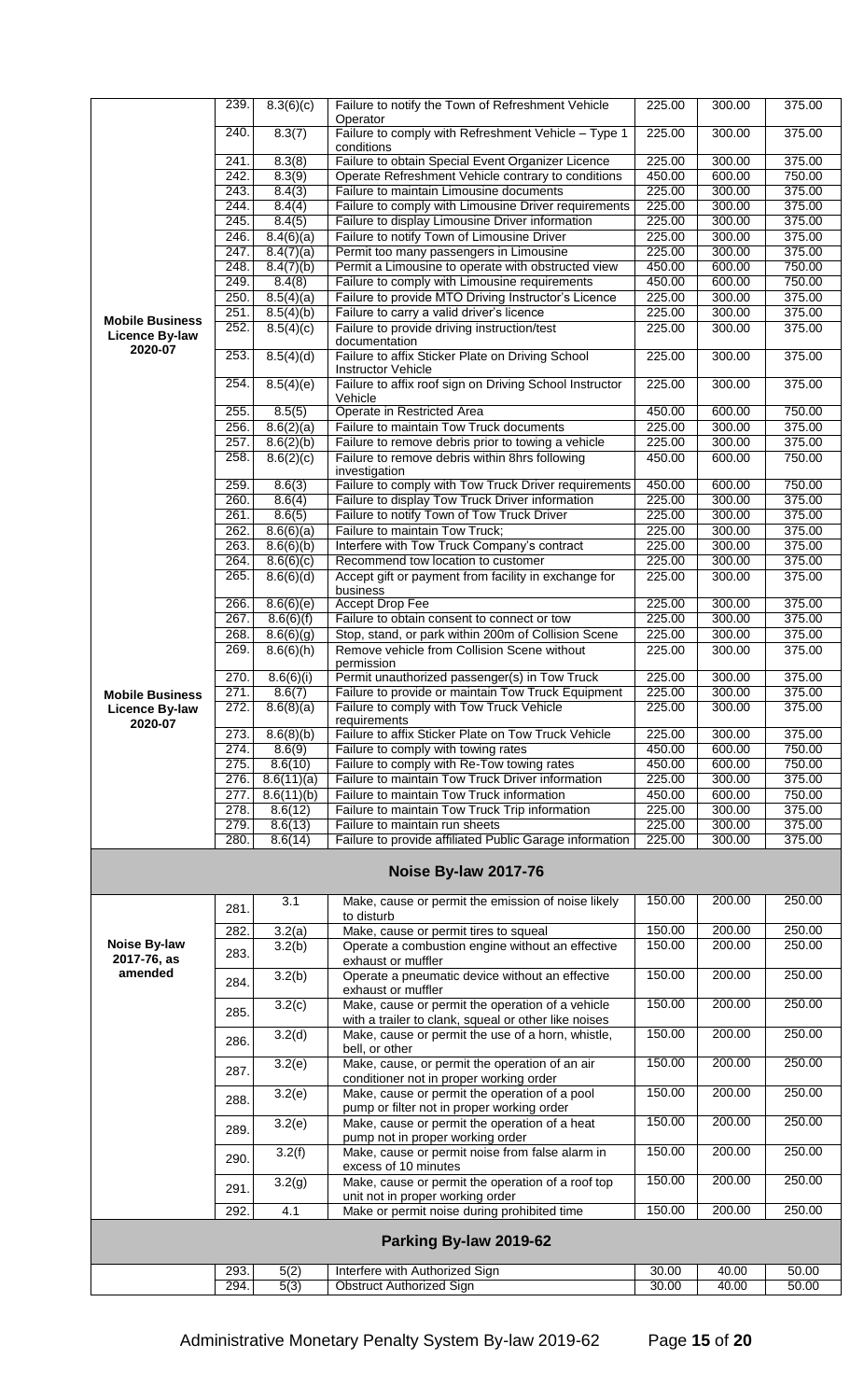|                           | 239.         | 8.3(6)(c)              | Failure to notify the Town of Refreshment Vehicle                                                  | 225.00           | 300.00           | 375.00           |
|---------------------------|--------------|------------------------|----------------------------------------------------------------------------------------------------|------------------|------------------|------------------|
|                           | 240.         | 8.3(7)                 | Operator<br>Failure to comply with Refreshment Vehicle - Type 1                                    | 225.00           | 300.00           | 375.00           |
|                           |              |                        | conditions                                                                                         |                  |                  |                  |
|                           | 241.         | 8.3(8)                 | Failure to obtain Special Event Organizer Licence                                                  | 225.00           | 300.00           | 375.00           |
|                           | 242.         | 8.3(9)                 | Operate Refreshment Vehicle contrary to conditions                                                 | 450.00           | 600.00           | 750.00           |
|                           | 243.         | 8.4(3)                 | Failure to maintain Limousine documents                                                            | 225.00           | 300.00           | 375.00           |
|                           | 244.         | 8.4(4)                 | Failure to comply with Limousine Driver requirements                                               | 225.00           | 300.00           | 375.00           |
|                           | 245.         | 8.4(5)                 | Failure to display Limousine Driver information<br>Failure to notify Town of Limousine Driver      | 225.00           | 300.00           | 375.00           |
|                           | 246.<br>247. | 8.4(6)(a)<br>8.4(7)(a) | Permit too many passengers in Limousine                                                            | 225.00<br>225.00 | 300.00<br>300.00 | 375.00<br>375.00 |
|                           | 248.         | 8.4(7)(b)              | Permit a Limousine to operate with obstructed view                                                 | 450.00           | 600.00           | 750.00           |
|                           | 249.         | 8.4(8)                 | Failure to comply with Limousine requirements                                                      | 450.00           | 600.00           | 750.00           |
|                           | 250.         | 8.5(4)(a)              | Failure to provide MTO Driving Instructor's Licence                                                | 225.00           | 300.00           | 375.00           |
|                           | 251.         | 8.5(4)(b)              | Failure to carry a valid driver's licence                                                          | 225.00           | 300.00           | 375.00           |
| <b>Mobile Business</b>    | 252.         | 8.5(4)(c)              | Failure to provide driving instruction/test                                                        | 225.00           | 300.00           | 375.00           |
| Licence By-law<br>2020-07 |              |                        | documentation                                                                                      |                  |                  |                  |
|                           | 253.         | 8.5(4)(d)              | Failure to affix Sticker Plate on Driving School                                                   | 225.00           | 300.00           | 375.00           |
|                           | 254.         | 8.5(4)(e)              | <b>Instructor Vehicle</b><br>Failure to affix roof sign on Driving School Instructor               | 225.00           | 300.00           | 375.00           |
|                           |              |                        | Vehicle                                                                                            |                  |                  |                  |
|                           | 255.         | 8.5(5)                 | Operate in Restricted Area                                                                         | 450.00           | 600.00           | 750.00           |
|                           | 256.         | 8.6(2)(a)              | Failure to maintain Tow Truck documents                                                            | 225.00           | 300.00           | 375.00           |
|                           | 257.         | 8.6(2)(b)              | Failure to remove debris prior to towing a vehicle                                                 | 225.00           | 300.00           | 375.00           |
|                           | 258.         | 8.6(2)(c)              | Failure to remove debris within 8hrs following                                                     | 450.00           | 600.00           | 750.00           |
|                           |              |                        | investigation                                                                                      |                  |                  |                  |
|                           | 259.<br>260. | 8.6(3)                 | Failure to comply with Tow Truck Driver requirements                                               | 450.00<br>225.00 | 600.00<br>300.00 | 750.00<br>375.00 |
|                           | 261.         | 8.6(4)<br>8.6(5)       | Failure to display Tow Truck Driver information<br>Failure to notify Town of Tow Truck Driver      | 225.00           | 300.00           | 375.00           |
|                           | 262.         | 8.6(6)(a)              | Failure to maintain Tow Truck;                                                                     | 225.00           | 300.00           | 375.00           |
|                           | 263.         | 8.6(6)(b)              | Interfere with Tow Truck Company's contract                                                        | 225.00           | 300.00           | 375.00           |
|                           | 264.         | 8.6(6)(c)              | Recommend tow location to customer                                                                 | 225.00           | 300.00           | 375.00           |
|                           | 265.         | 8.6(6)(d)              | Accept gift or payment from facility in exchange for                                               | 225.00           | 300.00           | 375.00           |
|                           |              |                        | business                                                                                           |                  |                  |                  |
|                           | 266.         | 8.6(6)(e)              | <b>Accept Drop Fee</b>                                                                             | 225.00           | 300.00           | 375.00           |
|                           | 267.         | 8.6(6)(f)              | Failure to obtain consent to connect or tow                                                        | 225.00           | 300.00           | 375.00           |
|                           | 268.<br>269. | 8.6(6)(g)              | Stop, stand, or park within 200m of Collision Scene<br>Remove vehicle from Collision Scene without | 225.00           | 300.00           | 375.00           |
|                           |              | 8.6(6)(h)              | permission                                                                                         | 225.00           | 300.00           | 375.00           |
|                           | 270.         | 8.6(6)(i)              | Permit unauthorized passenger(s) in Tow Truck                                                      | 225.00           | 300.00           | 375.00           |
| <b>Mobile Business</b>    | 271.         | 8.6(7)                 | Failure to provide or maintain Tow Truck Equipment                                                 | 225.00           | 300.00           | 375.00           |
| Licence By-law            | 272.         | 8.6(8)(a)              | Failure to comply with Tow Truck Vehicle                                                           | 225.00           | 300.00           | 375.00           |
| 2020-07                   |              |                        | requirements                                                                                       |                  |                  |                  |
|                           | 273.<br>274. | 8.6(8)(b)<br>8.6(9)    | Failure to affix Sticker Plate on Tow Truck Vehicle<br>Failure to comply with towing rates         | 225.00<br>450.00 | 300.00<br>600.00 | 375.00<br>750.00 |
|                           |              |                        |                                                                                                    |                  |                  | 750.00           |
|                           |              |                        |                                                                                                    |                  |                  |                  |
|                           | 275.         | 8.6(10)                | Failure to comply with Re-Tow towing rates                                                         | 450.00           | 600.00           |                  |
|                           | 276.<br>277. | 8.6(11)(a)             | Failure to maintain Tow Truck Driver information                                                   | 225.00<br>450.00 | 300.00<br>600.00 | 375.00<br>750.00 |
|                           | 278.         | 8.6(11)(b)<br>8.6(12)  | Failure to maintain Tow Truck information<br>Failure to maintain Tow Truck Trip information        | 225.00           | 300.00           | 375.00           |
|                           | 279.         | 8.6(13)                | Failure to maintain run sheets                                                                     | 225.00           | 300.00           | 375.00           |
|                           | 280.         | 8.6(14)                | Failure to provide affiliated Public Garage information                                            | 225.00           | 300.00           | 375.00           |
|                           |              |                        | Noise By-law 2017-76                                                                               |                  |                  |                  |
|                           |              |                        |                                                                                                    |                  |                  |                  |
|                           | 281.         | 3.1                    | Make, cause or permit the emission of noise likely                                                 | 150.00           | 200.00           | 250.00           |
|                           | 282.         |                        | to disturb                                                                                         | 150.00           | 200.00           | 250.00           |
| Noise By-law              |              | 3.2(a)<br>3.2(b)       | Make, cause or permit tires to squeal<br>Operate a combustion engine without an effective          | 150.00           | 200.00           | 250.00           |
| 2017-76, as               | 283.         |                        | exhaust or muffler                                                                                 |                  |                  |                  |
| amended                   |              | 3.2(b)                 | Operate a pneumatic device without an effective                                                    | 150.00           | 200.00           | 250.00           |
|                           | 284.         |                        | exhaust or muffler                                                                                 |                  |                  |                  |
|                           | 285.         | $\overline{3.2(c)}$    | Make, cause or permit the operation of a vehicle                                                   | 150.00           | 200.00           | 250.00           |
|                           |              |                        | with a trailer to clank, squeal or other like noises                                               |                  |                  |                  |
|                           | 286.         | 3.2(d)                 | Make, cause or permit the use of a horn, whistle,                                                  | 150.00           | 200.00           | 250.00           |
|                           |              |                        | bell, or other<br>Make, cause, or permit the operation of an air                                   | 150.00           | 200.00           | 250.00           |
|                           | 287.         | 3.2(e)                 | conditioner not in proper working order                                                            |                  |                  |                  |
|                           | 288.         | 3.2(e)                 | Make, cause or permit the operation of a pool                                                      | 150.00           | 200.00           | 250.00           |
|                           |              |                        | pump or filter not in proper working order                                                         |                  |                  |                  |
|                           | 289.         | 3.2(e)                 | Make, cause or permit the operation of a heat                                                      | 150.00           | 200.00           | 250.00           |
|                           |              |                        | pump not in proper working order                                                                   |                  |                  |                  |
|                           | 290.         | 3.2(f)                 | Make, cause or permit noise from false alarm in                                                    | 150.00           | 200.00           | 250.00           |
|                           |              |                        | excess of 10 minutes                                                                               | 150.00           | 200.00           | 250.00           |
|                           | 291.         | 3.2(g)                 | Make, cause or permit the operation of a roof top<br>unit not in proper working order              |                  |                  |                  |
|                           | 292.         | 4.1                    | Make or permit noise during prohibited time                                                        | 150.00           | 200.00           | 250.00           |
|                           |              |                        | Parking By-law 2019-62                                                                             |                  |                  |                  |
|                           |              |                        |                                                                                                    |                  |                  |                  |
|                           | 293.<br>294. | 5(2)<br>5(3)           | Interfere with Authorized Sign<br><b>Obstruct Authorized Sign</b>                                  | 30.00<br>30.00   | 40.00<br>40.00   | 50.00<br>50.00   |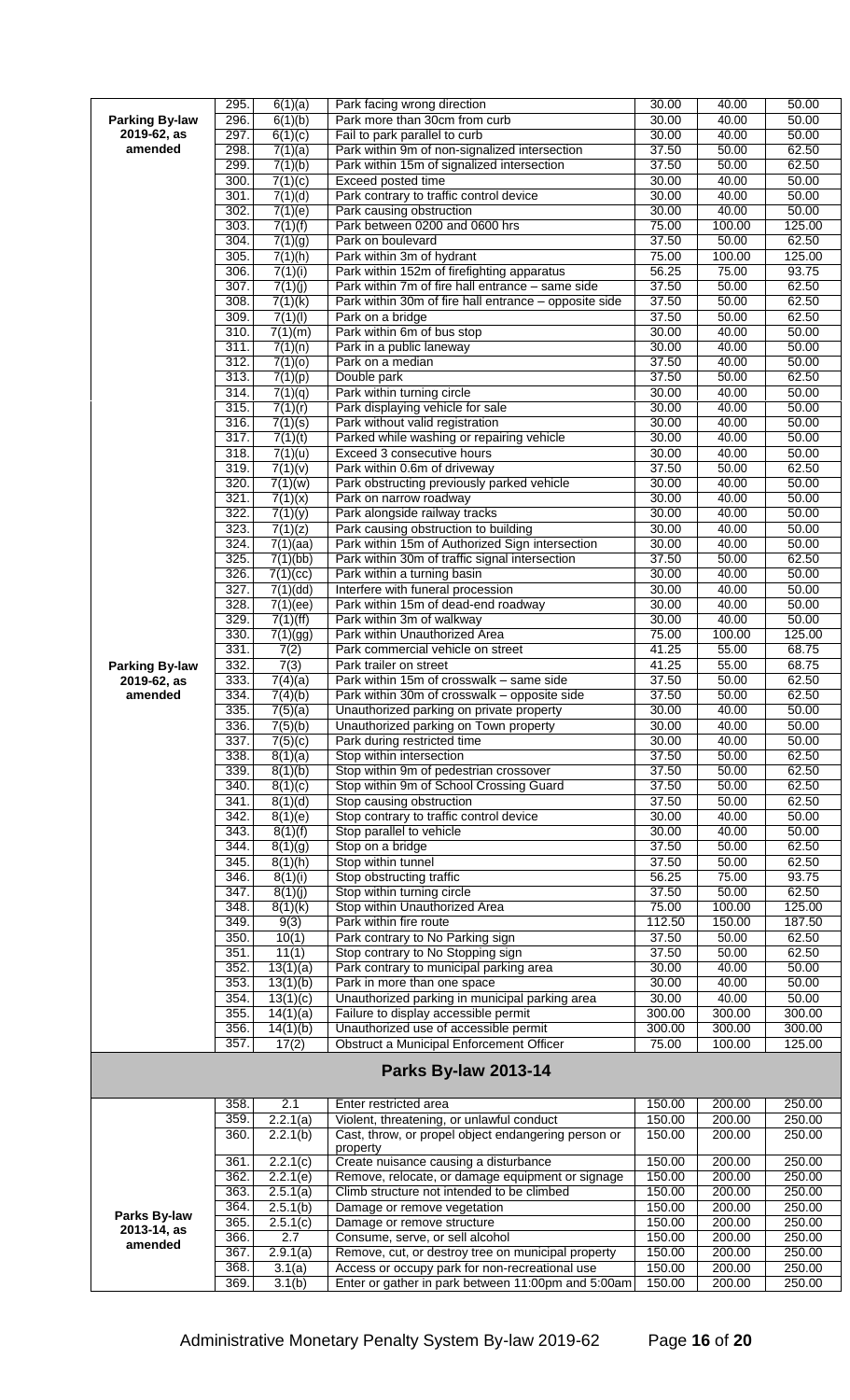|                       | 295.         | 6(1)(a)            | Park facing wrong direction                           | 30.00  | 40.00  | 50.00  |
|-----------------------|--------------|--------------------|-------------------------------------------------------|--------|--------|--------|
| <b>Parking By-law</b> | 296.         | 6(1)(b)            | Park more than 30cm from curb                         | 30.00  | 40.00  | 50.00  |
| 2019-62, as           | 297.         | 6(1)(c)            | Fail to park parallel to curb                         | 30.00  | 40.00  | 50.00  |
| amended               | 298.         | 7(1)(a)            | Park within 9m of non-signalized intersection         | 37.50  | 50.00  | 62.50  |
|                       | 299.         | 7(1)(b)            | Park within 15m of signalized intersection            | 37.50  | 50.00  | 62.50  |
|                       | 300.         |                    |                                                       |        |        |        |
|                       |              | 7(1)(c)            | Exceed posted time                                    | 30.00  | 40.00  | 50.00  |
|                       | 301.         | 7(1)(d)            | Park contrary to traffic control device               | 30.00  | 40.00  | 50.00  |
|                       | 302.         | 7(1)(e)            | Park causing obstruction                              | 30.00  | 40.00  | 50.00  |
|                       | 303.         | 7(1)(f)            | Park between 0200 and 0600 hrs                        | 75.00  | 100.00 | 125.00 |
|                       | 304.         | 7(1)(g)            | Park on boulevard                                     | 37.50  | 50.00  | 62.50  |
|                       | 305.         | 7(1)(h)            | Park within 3m of hydrant                             | 75.00  | 100.00 | 125.00 |
|                       | 306.         | 7(1)(i)            | Park within 152m of firefighting apparatus            | 56.25  | 75.00  | 93.75  |
|                       | 307.         | 7(1)(j)            | Park within 7m of fire hall entrance - same side      | 37.50  | 50.00  | 62.50  |
|                       | 308.         | 7(1)(k)            | Park within 30m of fire hall entrance - opposite side | 37.50  | 50.00  | 62.50  |
|                       | 309.         | 7(1)(1)            | Park on a bridge                                      | 37.50  | 50.00  | 62.50  |
|                       | 310.         | 7(1)(m)            | Park within 6m of bus stop                            | 30.00  | 40.00  | 50.00  |
|                       | 311.         | 7(1)(n)            | Park in a public laneway                              | 30.00  | 40.00  | 50.00  |
|                       | 312.         | 7(1)(0)            | Park on a median                                      | 37.50  | 40.00  | 50.00  |
|                       | 313.         | 7(1)(p)            | Double park                                           | 37.50  | 50.00  | 62.50  |
|                       |              |                    |                                                       |        |        |        |
|                       | 314.         | 7(1)(q)            | Park within turning circle                            | 30.00  | 40.00  | 50.00  |
|                       | 315.         | 7(1)(r)            | Park displaying vehicle for sale                      | 30.00  | 40.00  | 50.00  |
|                       | 316.         | 7(1)(s)            | Park without valid registration                       | 30.00  | 40.00  | 50.00  |
|                       | 317.         | 7(1)(t)            | Parked while washing or repairing vehicle             | 30.00  | 40.00  | 50.00  |
|                       | 318.         | 7(1)(u)            | Exceed 3 consecutive hours                            | 30.00  | 40.00  | 50.00  |
|                       | 319.         | 7(1)(v)            | Park within 0.6m of driveway                          | 37.50  | 50.00  | 62.50  |
|                       | 320.         | 7(1)(w)            | Park obstructing previously parked vehicle            | 30.00  | 40.00  | 50.00  |
|                       | 321.         | 7(1)(x)            | Park on narrow roadway                                | 30.00  | 40.00  | 50.00  |
|                       | 322.         | 7(1)(y)            | Park alongside railway tracks                         | 30.00  | 40.00  | 50.00  |
|                       | 323.         | 7(1)(z)            | Park causing obstruction to building                  | 30.00  | 40.00  | 50.00  |
|                       | 324.         | 7(1)(aa)           | Park within 15m of Authorized Sign intersection       | 30.00  | 40.00  | 50.00  |
|                       | 325.         | 7(1)(bb)           | Park within 30m of traffic signal intersection        | 37.50  | 50.00  | 62.50  |
|                       | 326.         | 7(1)(cc)           | Park within a turning basin                           | 30.00  | 40.00  | 50.00  |
|                       | 327.         | 7(1)(dd)           | Interfere with funeral procession                     | 30.00  | 40.00  | 50.00  |
|                       | 328.         |                    |                                                       |        | 40.00  | 50.00  |
|                       | 329.         | 7(1)(ee)           | Park within 15m of dead-end roadway                   | 30.00  |        |        |
|                       |              | 7(1)(ff)           | Park within 3m of walkway                             | 30.00  | 40.00  | 50.00  |
|                       | 330.         | 7(1)(gg)           | Park within Unauthorized Area                         | 75.00  | 100.00 | 125.00 |
|                       | 331.         | 7(2)               | Park commercial vehicle on street                     | 41.25  | 55.00  | 68.75  |
| <b>Parking By-law</b> | 332.         | 7(3)               | Park trailer on street                                | 41.25  | 55.00  | 68.75  |
| 2019-62, as           | 333.         | 7(4)(a)            | Park within 15m of crosswalk - same side              | 37.50  | 50.00  | 62.50  |
| amended               | 334.         | 7(4)(b)            | Park within 30m of crosswalk - opposite side          | 37.50  | 50.00  | 62.50  |
|                       | 335.         | 7(5)(a)            | Unauthorized parking on private property              | 30.00  | 40.00  | 50.00  |
|                       | 336.         | 7(5)(b)            | Unauthorized parking on Town property                 | 30.00  | 40.00  | 50.00  |
|                       | 337.         | 7(5)(c)            | Park during restricted time                           | 30.00  | 40.00  | 50.00  |
|                       | 338.         | 8(1)(a)            | Stop within intersection                              | 37.50  | 50.00  | 62.50  |
|                       | 339.         | 8(1)(b)            | Stop within 9m of pedestrian crossover                | 37.50  | 50.00  | 62.50  |
|                       | 340.         | 8(1)(c)            | Stop within 9m of School Crossing Guard               | 37.50  | 50.00  | 62.50  |
|                       | 341.         | 8(1)(d)            | Stop causing obstruction                              | 37.50  | 50.00  | 62.50  |
|                       | 342.         | 8(1)(e)            | Stop contrary to traffic control device               | 30.00  | 40.00  | 50.00  |
|                       | 343.         | 8(1)(f)            | Stop parallel to vehicle                              | 30.00  | 40.00  | 50.00  |
|                       | 344.         | 8(1)(g)            | Stop on a bridge                                      | 37.50  | 50.00  | 62.50  |
|                       | 345.         |                    | Stop within tunnel                                    | 37.50  | 50.00  | 62.50  |
|                       | 346.         | 8(1)(h)<br>8(1)(i) | Stop obstructing traffic                              | 56.25  | 75.00  | 93.75  |
|                       |              |                    |                                                       | 37.50  | 50.00  |        |
|                       | 347.         | 8(1)(j)            | Stop within turning circle                            |        |        | 62.50  |
|                       | 348.         | 8(1)(k)            | Stop within Unauthorized Area                         | 75.00  | 100.00 | 125.00 |
|                       | 349.         | 9(3)               | Park within fire route                                | 112.50 | 150.00 | 187.50 |
|                       | 350.         | 10(1)              | Park contrary to No Parking sign                      | 37.50  | 50.00  | 62.50  |
|                       | 351.         | 11(1)              | Stop contrary to No Stopping sign                     | 37.50  | 50.00  | 62.50  |
|                       | 352.         | 13(1)(a)           | Park contrary to municipal parking area               | 30.00  | 40.00  | 50.00  |
|                       | 353.         | 13(1)(b)           | Park in more than one space                           | 30.00  | 40.00  | 50.00  |
|                       | 354.         | 13(1)(c)           | Unauthorized parking in municipal parking area        | 30.00  | 40.00  | 50.00  |
|                       | 355.         | 14(1)(a)           | Failure to display accessible permit                  | 300.00 | 300.00 | 300.00 |
|                       | 356.         | 14(1)(b)           | Unauthorized use of accessible permit                 | 300.00 | 300.00 | 300.00 |
|                       | 357.         | 17(2)              | Obstruct a Municipal Enforcement Officer              | 75.00  | 100.00 | 125.00 |
|                       |              |                    | <b>Parks By-law 2013-14</b>                           |        |        |        |
|                       | 358.         | 2.1                | Enter restricted area                                 | 150.00 | 200.00 | 250.00 |
|                       | 359.         | 2.2.1(a)           | Violent, threatening, or unlawful conduct             | 150.00 | 200.00 | 250.00 |
|                       | 360.         | 2.2.1(b)           | Cast, throw, or propel object endangering person or   | 150.00 | 200.00 | 250.00 |
|                       |              |                    | property                                              |        |        |        |
|                       | 361.         | 2.2.1(c)           | Create nuisance causing a disturbance                 | 150.00 | 200.00 | 250.00 |
|                       | 362.         | 2.2.1(e)           | Remove, relocate, or damage equipment or signage      | 150.00 | 200.00 | 250.00 |
|                       | 363.         | 2.5.1(a)           | Climb structure not intended to be climbed            | 150.00 | 200.00 | 250.00 |
|                       | 364.         | 2.5.1(b)           | Damage or remove vegetation                           | 150.00 | 200.00 | 250.00 |
| Parks By-law          | 365.         | 2.5.1(c)           | Damage or remove structure                            | 150.00 | 200.00 | 250.00 |
| 2013-14, as           | 366.         | 2.7                | Consume, serve, or sell alcohol                       | 150.00 | 200.00 | 250.00 |
| amended               | 367.         | 2.9.1(a)           | Remove, cut, or destroy tree on municipal property    | 150.00 | 200.00 | 250.00 |
|                       |              | 3.1(a)             | Access or occupy park for non-recreational use        | 150.00 | 200.00 | 250.00 |
|                       |              |                    |                                                       |        |        |        |
|                       | 368.<br>369. | 3.1(b)             | Enter or gather in park between 11:00pm and 5:00am    | 150.00 | 200.00 | 250.00 |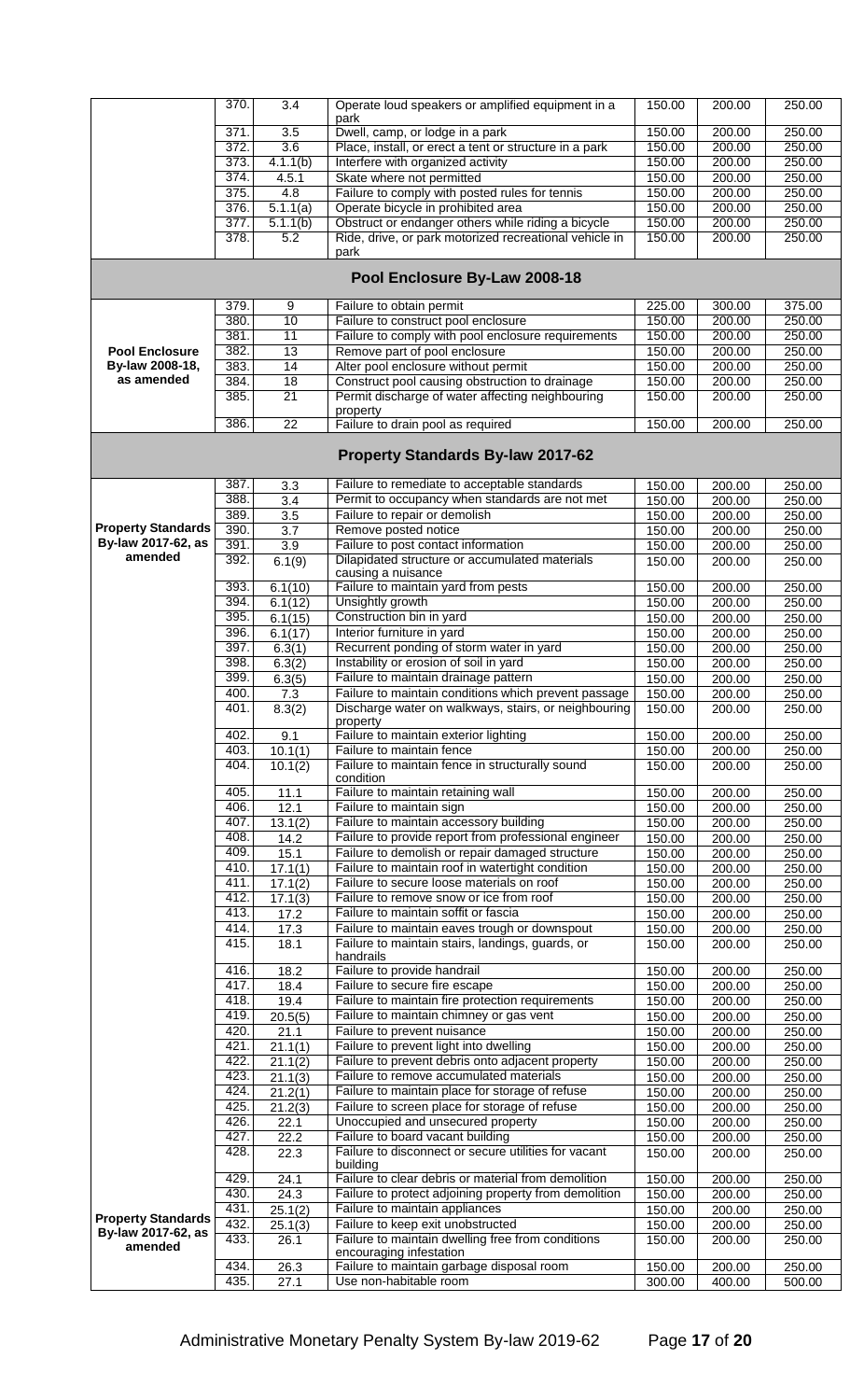|                           | 370.         | 3.4              | Operate loud speakers or amplified equipment in a                            | 150.00           | 200.00           | 250.00           |
|---------------------------|--------------|------------------|------------------------------------------------------------------------------|------------------|------------------|------------------|
|                           | 371          | 3.5              | park<br>Dwell, camp, or lodge in a park                                      | 150.00           | 200.00           | 250.00           |
|                           | 372.         | 3.6              | Place, install, or erect a tent or structure in a park                       | 150.00           | 200.00           | 250.00           |
|                           | 373          | 4.1.1(b)         | Interfere with organized activity                                            | 150.00           | 200.00           | 250.00           |
|                           | 374.         | 4.5.1            | Skate where not permitted                                                    | 150.00           | 200.00           | 250.00           |
|                           | 375.         | 4.8              | Failure to comply with posted rules for tennis                               | 150.00           | 200.00           | 250.00           |
|                           | 376.         | 5.1.1(a)         | Operate bicycle in prohibited area                                           | 150.00           | 200.00           | 250.00           |
|                           | 377.         | 5.1.1(b)         | Obstruct or endanger others while riding a bicycle                           | 150.00           | 200.00           | 250.00           |
|                           | 378.         | 5.2              | Ride, drive, or park motorized recreational vehicle in                       | 150.00           | 200.00           | 250.00           |
|                           |              |                  | park                                                                         |                  |                  |                  |
|                           |              |                  | Pool Enclosure By-Law 2008-18                                                |                  |                  |                  |
|                           | 379          | 9                | Failure to obtain permit                                                     | 225.00           | 300.00           | 375.00           |
|                           | 380.         | 10               | Failure to construct pool enclosure                                          | 150.00           | 200.00           | 250.00           |
|                           | 381.         | 11               | Failure to comply with pool enclosure requirements                           | 150.00           | 200.00           | 250.00           |
| <b>Pool Enclosure</b>     | 382.         | 13               | Remove part of pool enclosure                                                | 150.00           | 200.00           | 250.00           |
| By-law 2008-18,           | 383.         | 14               | Alter pool enclosure without permit                                          | 150.00           | 200.00           | 250.00           |
| as amended                | 384.         | 18               | Construct pool causing obstruction to drainage                               | 150.00           | 200.00           | 250.00           |
|                           | 385.         | $\overline{21}$  | Permit discharge of water affecting neighbouring                             | 150.00           | 200.00           | 250.00           |
|                           |              |                  | property                                                                     |                  |                  |                  |
|                           | 386.         | $\overline{22}$  | Failure to drain pool as required                                            | 150.00           | 200.00           | 250.00           |
|                           |              |                  | <b>Property Standards By-law 2017-62</b>                                     |                  |                  |                  |
|                           | 387.         | 3.3              | Failure to remediate to acceptable standards                                 | 150.00           | 200.00           | 250.00           |
|                           | 388.         | $\overline{3.4}$ | Permit to occupancy when standards are not met                               | 150.00           | 200.00           | 250.00           |
|                           | 389          | 3.5              | Failure to repair or demolish                                                | 150.00           | 200.00           | 250.00           |
| <b>Property Standards</b> | 390          | 3.7              | Remove posted notice                                                         | 150.00           | 200.00           | 250.00           |
| By-law 2017-62, as        | 391          | 3.9              | Failure to post contact information                                          | 150.00           | 200.00           | 250.00           |
| amended                   | 392.         | 6.1(9)           | Dilapidated structure or accumulated materials                               | 150.00           | 200.00           | 250.00           |
|                           |              |                  | causing a nuisance                                                           |                  |                  |                  |
|                           | 393.         | 6.1(10)          | Failure to maintain yard from pests                                          | 150.00           | 200.00           | 250.00           |
|                           | 394.         | 6.1(12)          | Unsightly growth                                                             | 150.00           | 200.00           | 250.00           |
|                           | 395.         | 6.1(15)          | Construction bin in yard                                                     | 150.00           | 200.00           | 250.00           |
|                           | 396.         | 6.1(17)          | Interior furniture in yard                                                   | 150.00           | 200.00           | 250.00           |
|                           | 397.         | 6.3(1)           | Recurrent ponding of storm water in yard                                     | 150.00           | 200.00           | 250.00           |
|                           | 398.         | 6.3(2)           | Instability or erosion of soil in yard                                       | 150.00           | 200.00           | 250.00           |
|                           | 399.         | 6.3(5)           | Failure to maintain drainage pattern                                         | 150.00           | 200.00           | 250.00           |
|                           | 400.         | 7.3              | Failure to maintain conditions which prevent passage                         | 150.00           | 200.00           | 250.00           |
|                           | 401.         | 8.3(2)           | Discharge water on walkways, stairs, or neighbouring<br>property             | 150.00           | 200.00           | 250.00           |
|                           | 402.         | 9.1              | Failure to maintain exterior lighting                                        | 150.00           | 200.00           | 250.00           |
|                           | 403.         | 10.1(1)          | Failure to maintain fence                                                    | 150.00           | 200.00           | 250.00           |
|                           | 404.         | 10.1(2)          | Failure to maintain fence in structurally sound                              | 150.00           | 200.00           | 250.00           |
|                           |              |                  | condition                                                                    |                  |                  |                  |
|                           | 405.         | 11.1             | Failure to maintain retaining wall                                           | 150.00           | 200.00           | 250.00           |
|                           | 406.         | 12.1             | Failure to maintain sign                                                     | 150.00           | 200.00           | 250.00           |
|                           | 407.         | 13.1(2)          | Failure to maintain accessory building                                       | 150.00           | 200.00           | 250.00           |
|                           | 408.         | 14.2             | Failure to provide report from professional engineer                         | 150.00           | 200.00           | 250.00           |
|                           | 409.         | 15.1             | Failure to demolish or repair damaged structure                              | 150.00           | 200.00           | 250.00           |
|                           | 410.         | 17.1(1)          | Failure to maintain roof in watertight condition                             | 150.00           | 200.00           | 250.00           |
|                           | 411.         | 17.1(2)          | Failure to secure loose materials on roof                                    | 150.00           | 200.00           | 250.00           |
|                           | 412.         | 17.1(3)          | Failure to remove snow or ice from roof                                      | 150.00           | 200.00           | 250.00           |
|                           | 413.         | 17.2             | Failure to maintain soffit or fascia                                         | 150.00           | 200.00           | 250.00           |
|                           | 414.<br>415. | 17.3             | Failure to maintain eaves trough or downspout                                | 150.00           | 200.00           | 250.00           |
|                           |              | 18.1             | Failure to maintain stairs, landings, guards, or<br>handrails                | 150.00           | 200.00           | 250.00           |
|                           | 416.         | 18.2             | Failure to provide handrail                                                  | 150.00           | 200.00           | 250.00           |
|                           | 417.         | 18.4             | Failure to secure fire escape                                                | 150.00           | 200.00           | 250.00           |
|                           | 418.         | 19.4             | Failure to maintain fire protection requirements                             | 150.00           | 200.00           | 250.00           |
|                           | 419.         | 20.5(5)          | Failure to maintain chimney or gas vent                                      | 150.00           | 200.00           | 250.00           |
|                           | 420.         | 21.1             | Failure to prevent nuisance                                                  | 150.00           | 200.00           | 250.00           |
|                           | 421.         | 21.1(1)          | Failure to prevent light into dwelling                                       | 150.00           | 200.00           | 250.00           |
|                           | 422          | 21.1(2)          | Failure to prevent debris onto adjacent property                             | 150.00           | 200.00           | 250.00           |
|                           | 423.         | 21.1(3)          | Failure to remove accumulated materials                                      | 150.00           | 200.00           | 250.00           |
|                           | 424.         | 21.2(1)          | Failure to maintain place for storage of refuse                              | 150.00           | 200.00           | 250.00           |
|                           | 425.         | 21.2(3)          | Failure to screen place for storage of refuse                                | 150.00           | 200.00           | 250.00           |
|                           | 426.         | 22.1             | Unoccupied and unsecured property                                            | 150.00           | 200.00           | 250.00           |
|                           |              | 22.2             | Failure to board vacant building                                             | 150.00           | 200.00           | 250.00           |
|                           | 427.         |                  |                                                                              |                  |                  |                  |
|                           | 428.         | 22.3             | Failure to disconnect or secure utilities for vacant                         | 150.00           | 200.00           | 250.00           |
|                           |              |                  | building                                                                     |                  |                  |                  |
|                           | 429          | 24.1             | Failure to clear debris or material from demolition                          | 150.00           | 200.00           | 250.00           |
|                           | 430.         | 24.3             | Failure to protect adjoining property from demolition                        | 150.00           | 200.00           | 250.00           |
| <b>Property Standards</b> | 431.         | 25.1(2)          | Failure to maintain appliances                                               | 150.00           | 200.00           | 250.00           |
| By-law 2017-62, as        | 432.         | 25.1(3)          | Failure to keep exit unobstructed                                            | 150.00           | 200.00           | 250.00           |
| amended                   | 433.         | 26.1             | Failure to maintain dwelling free from conditions<br>encouraging infestation | 150.00           | 200.00           | 250.00           |
|                           | 434.<br>435. | 26.3<br>27.1     | Failure to maintain garbage disposal room<br>Use non-habitable room          | 150.00<br>300.00 | 200.00<br>400.00 | 250.00<br>500.00 |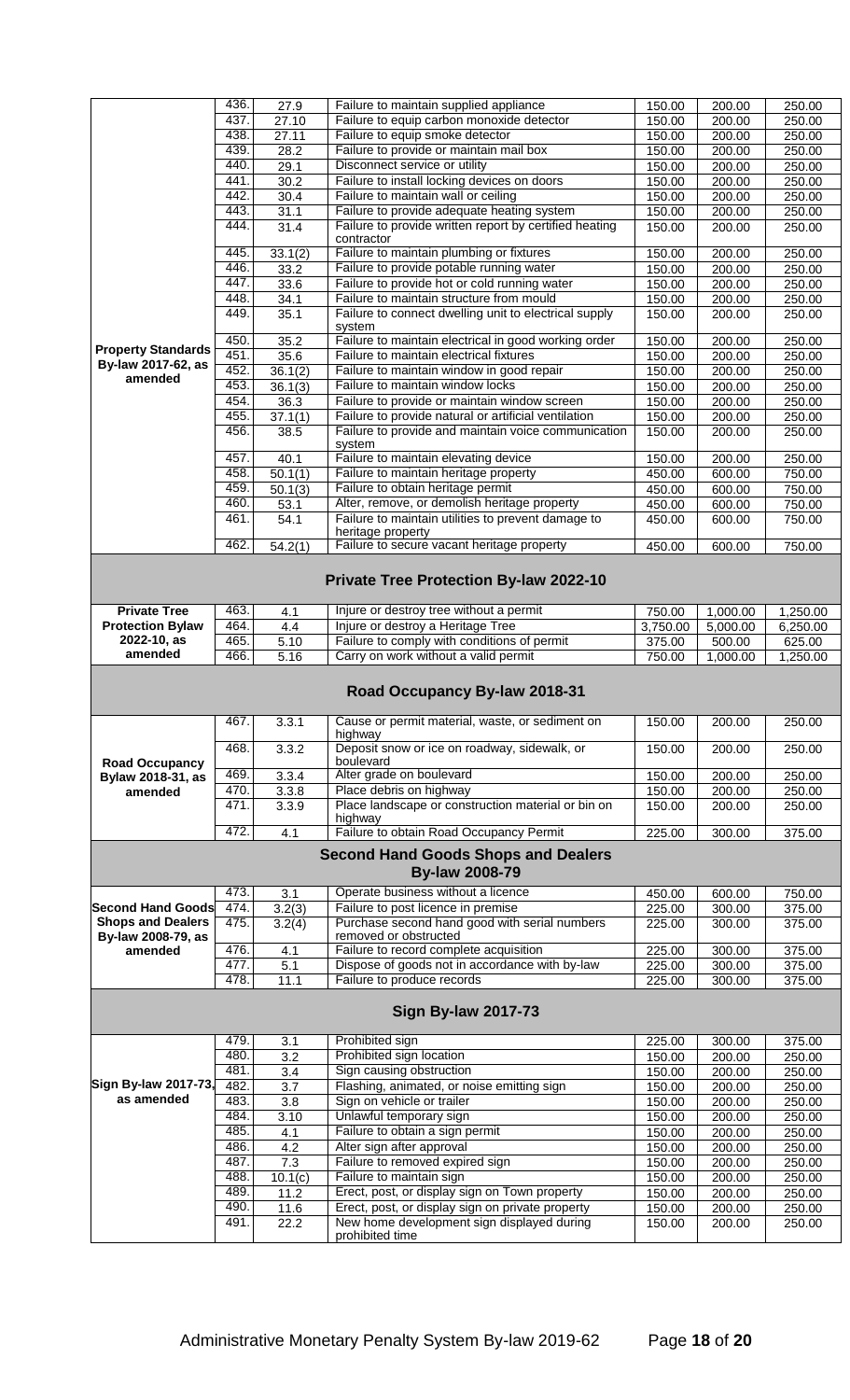|                                    | 436. | 27.9                 | Failure to maintain supplied appliance                        | 150.00   | 200.00   | 250.00   |
|------------------------------------|------|----------------------|---------------------------------------------------------------|----------|----------|----------|
|                                    | 437. | 27.10                | Failure to equip carbon monoxide detector                     | 150.00   | 200.00   | 250.00   |
|                                    | 438. | 27.11                | Failure to equip smoke detector                               |          |          | 250.00   |
|                                    |      |                      |                                                               | 150.00   | 200.00   |          |
|                                    | 439. | 28.2                 | Failure to provide or maintain mail box                       | 150.00   | 200.00   | 250.00   |
|                                    | 440. | 29.1                 | Disconnect service or utility                                 | 150.00   | 200.00   | 250.00   |
|                                    | 441  | $\overline{30.2}$    | Failure to install locking devices on doors                   | 150.00   | 200.00   | 250.00   |
|                                    | 442. | 30.4                 | Failure to maintain wall or ceiling                           | 150.00   | 200.00   | 250.00   |
|                                    |      |                      |                                                               |          |          |          |
|                                    | 443. | 31.1                 | Failure to provide adequate heating system                    | 150.00   | 200.00   | 250.00   |
|                                    | 444. | 31.4                 | Failure to provide written report by certified heating        | 150.00   | 200.00   | 250.00   |
|                                    |      |                      | contractor                                                    |          |          |          |
|                                    | 445  | 33.1(2)              | Failure to maintain plumbing or fixtures                      | 150.00   | 200.00   | 250.00   |
|                                    | 446. | 33.2                 | Failure to provide potable running water                      | 150.00   | 200.00   | 250.00   |
|                                    | 447. | 33.6                 | Failure to provide hot or cold running water                  | 150.00   | 200.00   | 250.00   |
|                                    | 448. | 34.1                 | Failure to maintain structure from mould                      | 150.00   | 200.00   | 250.00   |
|                                    | 449. | 35.1                 | Failure to connect dwelling unit to electrical supply         | 150.00   | 200.00   | 250.00   |
|                                    |      |                      | system                                                        |          |          |          |
|                                    | 450. | 35.2                 | Failure to maintain electrical in good working order          | 150.00   | 200.00   | 250.00   |
| <b>Property Standards</b>          | 451. | 35.6                 | Failure to maintain electrical fixtures                       | 150.00   | 200.00   | 250.00   |
| By-law 2017-62, as                 |      |                      |                                                               |          |          |          |
| amended                            | 452. | 36.1(2)              | Failure to maintain window in good repair                     | 150.00   | 200.00   | 250.00   |
|                                    | 453. | 36.1(3)              | Failure to maintain window locks                              | 150.00   | 200.00   | 250.00   |
|                                    | 454. | 36.3                 | Failure to provide or maintain window screen                  | 150.00   | 200.00   | 250.00   |
|                                    | 455. | 37.1(1)              | Failure to provide natural or artificial ventilation          | 150.00   | 200.00   | 250.00   |
|                                    | 456. | 38.5                 | Failure to provide and maintain voice communication           | 150.00   | 200.00   | 250.00   |
|                                    |      |                      | system                                                        |          |          |          |
|                                    | 457. | 40.1                 | Failure to maintain elevating device                          | 150.00   | 200.00   | 250.00   |
|                                    | 458. | 50.1(1)              | Failure to maintain heritage property                         | 450.00   | 600.00   | 750.00   |
|                                    | 459. |                      |                                                               |          |          |          |
|                                    |      | 50.1(3)              | Failure to obtain heritage permit                             | 450.00   | 600.00   | 750.00   |
|                                    | 460. | 53.1                 | Alter, remove, or demolish heritage property                  | 450.00   | 600.00   | 750.00   |
|                                    | 461. | 54.1                 | Failure to maintain utilities to prevent damage to            | 450.00   | 600.00   | 750.00   |
|                                    |      |                      | heritage property                                             |          |          |          |
|                                    | 462. | $\overline{54.2(1)}$ | Failure to secure vacant heritage property                    | 450.00   | 600.00   | 750.00   |
|                                    |      |                      |                                                               |          |          |          |
|                                    |      |                      | <b>Private Tree Protection By-law 2022-10</b>                 |          |          |          |
|                                    |      |                      |                                                               |          |          |          |
| <b>Private Tree</b>                | 463. | 4.1                  | Injure or destroy tree without a permit                       | 750.00   | 1,000.00 | 1,250.00 |
| <b>Protection Bylaw</b>            | 464. | 4.4                  | Injure or destroy a Heritage Tree                             | 3,750.00 | 5,000.00 | 6,250.00 |
| 2022-10, as                        | 465. | 5.10                 | Failure to comply with conditions of permit                   | 375.00   | 500.00   | 625.00   |
|                                    |      |                      |                                                               |          |          |          |
| amended                            | 466. | 5.16                 | Carry on work without a valid permit                          | 750.00   | 1,000.00 | 1,250.00 |
|                                    |      |                      |                                                               |          |          |          |
|                                    |      |                      | Road Occupancy By-law 2018-31                                 |          |          |          |
|                                    |      |                      |                                                               |          |          |          |
|                                    | 467. | 3.3.1                | Cause or permit material, waste, or sediment on               | 150.00   | 200.00   | 250.00   |
|                                    |      |                      | highway                                                       |          |          |          |
|                                    | 468. | 3.3.2                | Deposit snow or ice on roadway, sidewalk, or<br>boulevard     | 150.00   | 200.00   | 250.00   |
| <b>Road Occupancy</b>              |      |                      |                                                               |          |          |          |
| Bylaw 2018-31, as                  | 469. | 3.3.4                | Alter grade on boulevard                                      | 150.00   | 200.00   | 250.00   |
| amended                            | 470. | 3.3.8                | Place debris on highway                                       | 150.00   | 200.00   | 250.00   |
|                                    | 471. | 3.3.9                | Place landscape or construction material or bin on            | 150.00   | 200.00   | 250.00   |
|                                    |      |                      | highway                                                       |          |          |          |
|                                    | 472. | 4.1                  | Failure to obtain Road Occupancy Permit                       | 225.00   | 300.00   | 375.00   |
|                                    |      |                      | <b>Second Hand Goods Shops and Dealers</b>                    |          |          |          |
|                                    |      |                      | <b>By-law 2008-79</b>                                         |          |          |          |
|                                    | 473. | 3.1                  | Operate business without a licence                            | 450.00   | 600.00   | 750.00   |
| <b>Second Hand Goods</b>           | 474. | 3.2(3)               | Failure to post licence in premise                            | 225.00   | 300.00   | 375.00   |
| <b>Shops and Dealers</b>           | 475. |                      | Purchase second hand good with serial numbers                 |          |          |          |
|                                    |      | 3.2(4)               | removed or obstructed                                         | 225.00   | 300.00   | 375.00   |
| By-law 2008-79, as<br>amended      | 476. |                      |                                                               |          |          |          |
|                                    |      | 4.1                  | Failure to record complete acquisition                        | 225.00   | 300.00   | 375.00   |
|                                    | 477. | $\overline{5.1}$     | Dispose of goods not in accordance with by-law                | 225.00   | 300.00   | 375.00   |
|                                    | 478. | 11.1                 | Failure to produce records                                    | 225.00   | 300.00   | 375.00   |
|                                    |      |                      | <b>Sign By-law 2017-73</b>                                    |          |          |          |
|                                    |      |                      |                                                               |          |          |          |
|                                    | 479. | 3.1                  | Prohibited sign                                               | 225.00   | 300.00   | 375.00   |
|                                    | 480  | 3.2                  | Prohibited sign location                                      | 150.00   | 200.00   |          |
|                                    | 481  |                      |                                                               |          |          | 250.00   |
|                                    |      | 3.4                  | Sign causing obstruction                                      | 150.00   | 200.00   | 250.00   |
| Sign By-law 2017-73,<br>as amended | 482. | 3.7                  | Flashing, animated, or noise emitting sign                    | 150.00   | 200.00   | 250.00   |
|                                    | 483. | 3.8                  | Sign on vehicle or trailer                                    | 150.00   | 200.00   | 250.00   |
|                                    | 484  | 3.10                 | Unlawful temporary sign                                       | 150.00   | 200.00   | 250.00   |
|                                    | 485. | 4.1                  | Failure to obtain a sign permit                               | 150.00   | 200.00   | 250.00   |
|                                    | 486. | 4.2                  | Alter sign after approval                                     | 150.00   | 200.00   | 250.00   |
|                                    | 487. | 7.3                  | Failure to removed expired sign                               | 150.00   | 200.00   | 250.00   |
|                                    | 488. |                      | Failure to maintain sign                                      |          |          |          |
|                                    |      | 10.1(c)              |                                                               | 150.00   | 200.00   | 250.00   |
|                                    | 489. | 11.2                 | Erect, post, or display sign on Town property                 | 150.00   | 200.00   | 250.00   |
|                                    | 490. | 11.6                 | Erect, post, or display sign on private property              | 150.00   | 200.00   | 250.00   |
|                                    | 491. | 22.2                 | New home development sign displayed during<br>prohibited time | 150.00   | 200.00   | 250.00   |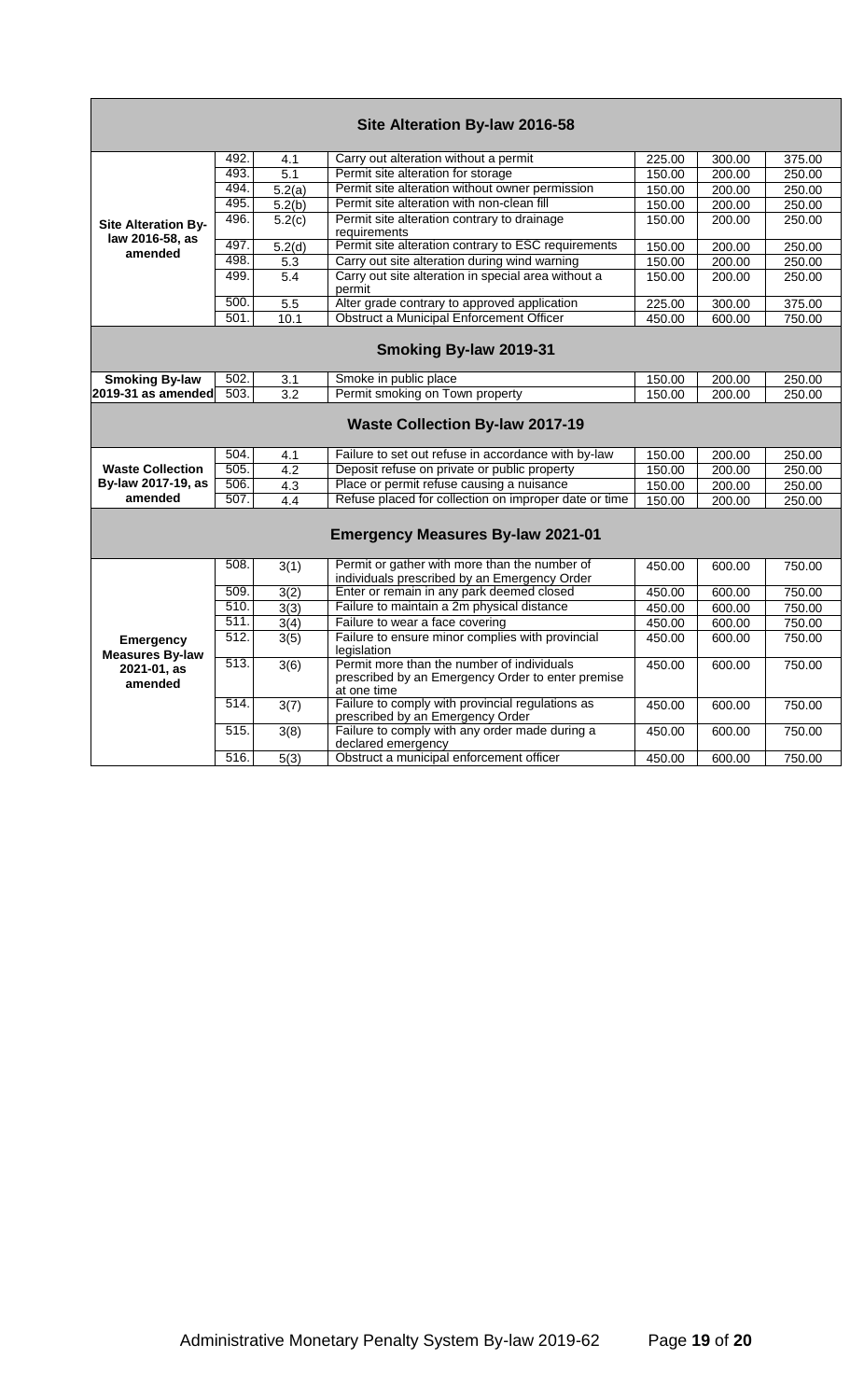|                                               |      |                   | Site Alteration By-law 2016-58                                                                                 |        |        |        |
|-----------------------------------------------|------|-------------------|----------------------------------------------------------------------------------------------------------------|--------|--------|--------|
|                                               | 492. | 4.1               | Carry out alteration without a permit                                                                          | 225.00 | 300.00 | 375.00 |
|                                               | 493. | $\overline{5.1}$  | Permit site alteration for storage                                                                             | 150.00 | 200.00 | 250.00 |
|                                               | 494. | 5.2(a)            | Permit site alteration without owner permission                                                                | 150.00 | 200.00 | 250.00 |
|                                               | 495. | 5.2(b)            | Permit site alteration with non-clean fill                                                                     | 150.00 | 200.00 | 250.00 |
| <b>Site Alteration By-</b><br>law 2016-58, as | 496. | 5.2(c)            | Permit site alteration contrary to drainage<br>requirements                                                    | 150.00 | 200.00 | 250.00 |
| amended                                       | 497. | 5.2(d)            | Permit site alteration contrary to ESC requirements                                                            | 150.00 | 200.00 | 250.00 |
|                                               | 498. | 5.3               | Carry out site alteration during wind warning                                                                  | 150.00 | 200.00 | 250.00 |
|                                               | 499. | 5.4               | Carry out site alteration in special area without a<br>permit                                                  | 150.00 | 200.00 | 250.00 |
|                                               | 500. | 5.5               | Alter grade contrary to approved application                                                                   | 225.00 | 300.00 | 375.00 |
|                                               | 501. | 10.1              | Obstruct a Municipal Enforcement Officer                                                                       | 450.00 | 600.00 | 750.00 |
|                                               |      |                   | Smoking By-law 2019-31                                                                                         |        |        |        |
| <b>Smoking By-law</b>                         | 502. | 3.1               | Smoke in public place                                                                                          | 150.00 | 200.00 | 250.00 |
| 2019-31 as amended                            | 503. | 3.2               | Permit smoking on Town property                                                                                | 150.00 | 200.00 | 250.00 |
|                                               |      |                   | <b>Waste Collection By-law 2017-19</b>                                                                         |        |        |        |
|                                               | 504. | 4.1               | Failure to set out refuse in accordance with by-law                                                            | 150.00 | 200.00 | 250.00 |
| <b>Waste Collection</b>                       | 505. | 4.2               | Deposit refuse on private or public property                                                                   | 150.00 | 200.00 | 250.00 |
| By-law 2017-19, as                            | 506. | 4.3               | Place or permit refuse causing a nuisance                                                                      | 150.00 | 200.00 | 250.00 |
| amended                                       | 507. | 4.4               | Refuse placed for collection on improper date or time                                                          | 150.00 | 200.00 | 250.00 |
|                                               |      |                   | <b>Emergency Measures By-law 2021-01</b>                                                                       |        |        |        |
|                                               | 508. | 3(1)              | Permit or gather with more than the number of<br>individuals prescribed by an Emergency Order                  | 450.00 | 600.00 | 750.00 |
|                                               | 509. | 3(2)              | Enter or remain in any park deemed closed                                                                      | 450.00 | 600.00 | 750.00 |
|                                               | 510. | 3(3)              | Failure to maintain a 2m physical distance                                                                     | 450.00 | 600.00 | 750.00 |
|                                               | 511. | 3(4)              | Failure to wear a face covering                                                                                | 450.00 | 600.00 | 750.00 |
| <b>Emergency</b><br><b>Measures By-law</b>    | 512. | $\overline{3(5)}$ | Failure to ensure minor complies with provincial<br>legislation                                                | 450.00 | 600.00 | 750.00 |
| 2021-01, as<br>amended                        | 513. | 3(6)              | Permit more than the number of individuals<br>prescribed by an Emergency Order to enter premise<br>at one time | 450.00 | 600.00 | 750.00 |
|                                               | 514. | 3(7)              | Failure to comply with provincial regulations as<br>prescribed by an Emergency Order                           | 450.00 | 600.00 | 750.00 |
|                                               | 515. | 3(8)              | Failure to comply with any order made during a<br>declared emergency                                           | 450.00 | 600.00 | 750.00 |
|                                               | 516. | $\overline{5(3)}$ | Obstruct a municipal enforcement officer                                                                       | 450.00 | 600.00 | 750.00 |